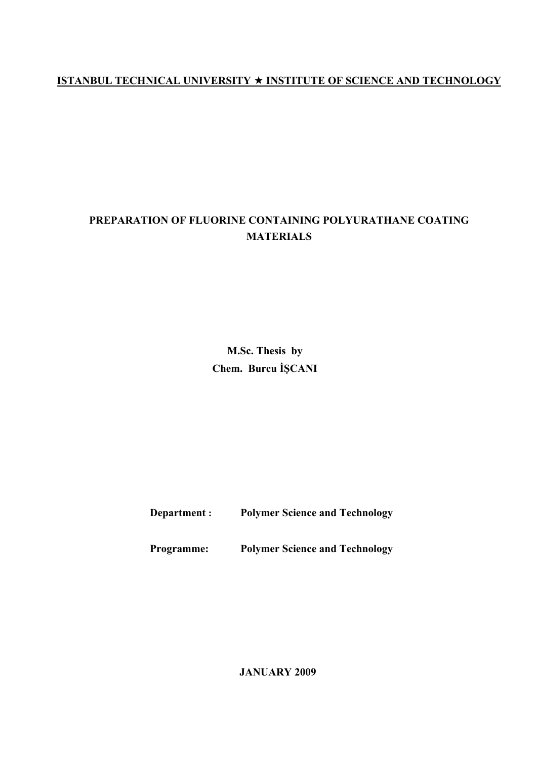## **ISTANBUL TECHNICAL UNIVERSITY INSTITUTE OF SCIENCE AND TECHNOLOGY**

## **PREPARATION OF FLUORINE CONTAINING POLYURATHANE COATING MATERIALS**

**M.Sc. Thesis by Chem. Burcu İŞCANI**

**Department : Polymer Science and Technology**

**Programme: Polymer Science and Technology**

**JANUARY 2009**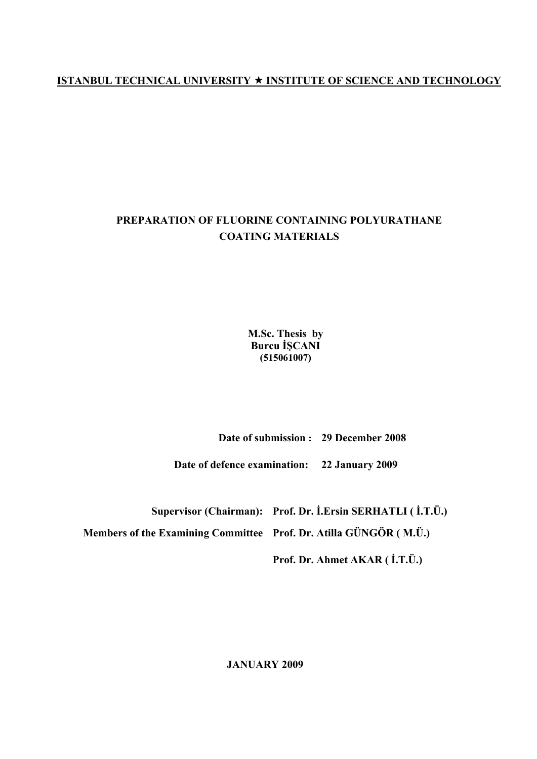## **ISTANBUL TECHNICAL UNIVERSITY INSTITUTE OF SCIENCE AND TECHNOLOGY**

## **PREPARATION OF FLUORINE CONTAINING POLYURATHANE COATING MATERIALS**

**M.Sc. Thesis by Burcu İŞCANI (515061007)** 

**Date of submission : 29 December 2008**

**Date of defence examination: 22 January 2009**

**Supervisor (Chairman): Prof. Dr. İ.Ersin SERHATLI ( İ.T.Ü.)** 

**Members of the Examining Committee Prof. Dr. Atilla GÜNGÖR ( M.Ü.)** 

**Prof. Dr. Ahmet AKAR ( İ.T.Ü.)** 

**JANUARY 2009**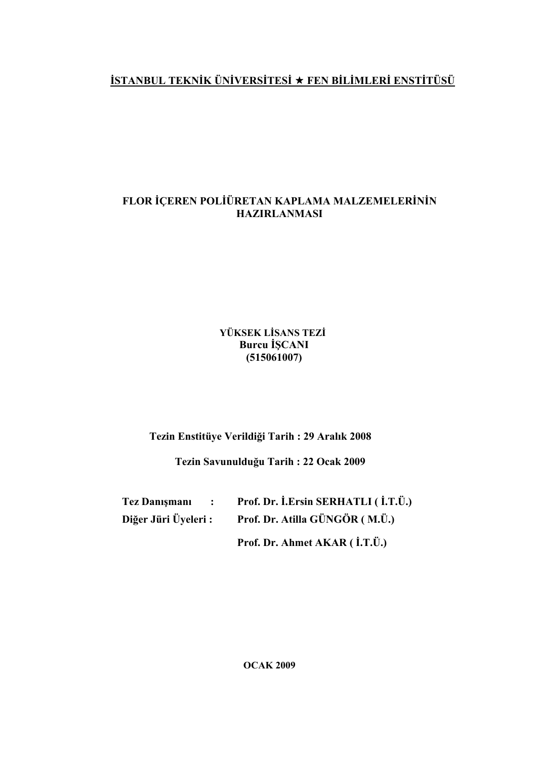# **İSTANBUL TEKNİK ÜNİVERSİTESİ FEN BİLİMLERİ ENSTİTÜSÜ**

## **FLOR İÇEREN POLİÜRETAN KAPLAMA MALZEMELERİNİN HAZIRLANMASI**

**YÜKSEK LİSANS TEZİ Burcu İŞCANI (515061007)** 

**Tezin Enstitüye Verildiği Tarih : 29 Aralık 2008** 

**Tezin Savunulduğu Tarih : 22 Ocak 2009** 

| <b>Tez Danismani</b><br>$\mathbb{R}^n$ | Prof. Dr. İ.Ersin SERHATLI (İ.T.Ü.) |
|----------------------------------------|-------------------------------------|
| Diğer Jüri Üyeleri:                    | Prof. Dr. Atilla GÜNGÖR (M.Ü.)      |
|                                        | Prof. Dr. Ahmet AKAR (I.T.Ü.)       |

**OCAK 2009**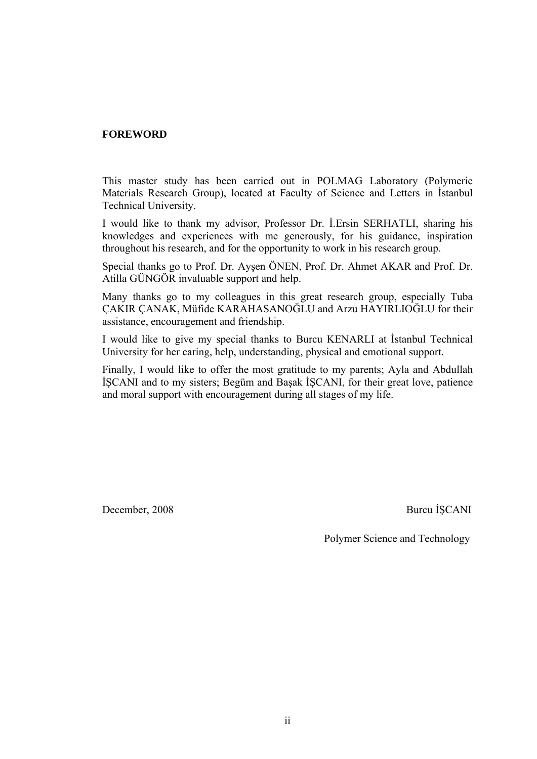### **FOREWORD**

This master study has been carried out in POLMAG Laboratory (Polymeric Materials Research Group), located at Faculty of Science and Letters in İstanbul Technical University.

I would like to thank my advisor, Professor Dr. İ.Ersin SERHATLI, sharing his knowledges and experiences with me generously, for his guidance, inspiration throughout his research, and for the opportunity to work in his research group.

Special thanks go to Prof. Dr. Ayşen ÖNEN, Prof. Dr. Ahmet AKAR and Prof. Dr. Atilla GÜNGÖR invaluable support and help.

Many thanks go to my colleagues in this great research group, especially Tuba ÇAKIR ÇANAK, Müfide KARAHASANOĞLU and Arzu HAYIRLIOĞLU for their assistance, encouragement and friendship.

I would like to give my special thanks to Burcu KENARLI at İstanbul Technical University for her caring, help, understanding, physical and emotional support.

Finally, I would like to offer the most gratitude to my parents; Ayla and Abdullah İŞCANI and to my sisters; Begüm and Başak İŞCANI, for their great love, patience and moral support with encouragement during all stages of my life.

December, 2008 Burcu İSCANI

Polymer Science and Technology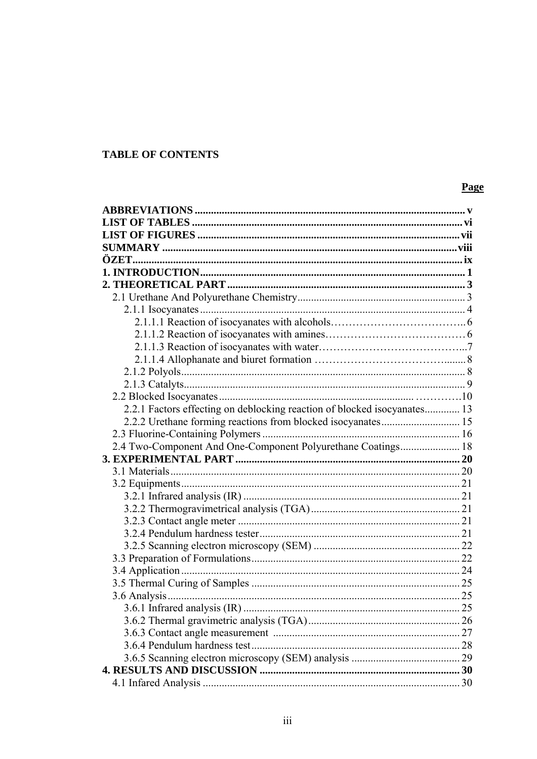## **TABLE OF CONTENTS**

## **Page**

| 2.2.1 Factors effecting on deblocking reaction of blocked isocyanates 13 |  |
|--------------------------------------------------------------------------|--|
|                                                                          |  |
|                                                                          |  |
| 2.4 Two-Component And One-Component Polyurethane Coatings 18             |  |
|                                                                          |  |
|                                                                          |  |
|                                                                          |  |
|                                                                          |  |
|                                                                          |  |
|                                                                          |  |
|                                                                          |  |
|                                                                          |  |
|                                                                          |  |
|                                                                          |  |
|                                                                          |  |
|                                                                          |  |
|                                                                          |  |
|                                                                          |  |
|                                                                          |  |
|                                                                          |  |
| 3.6.4 Pendulum hardness test                                             |  |
|                                                                          |  |
|                                                                          |  |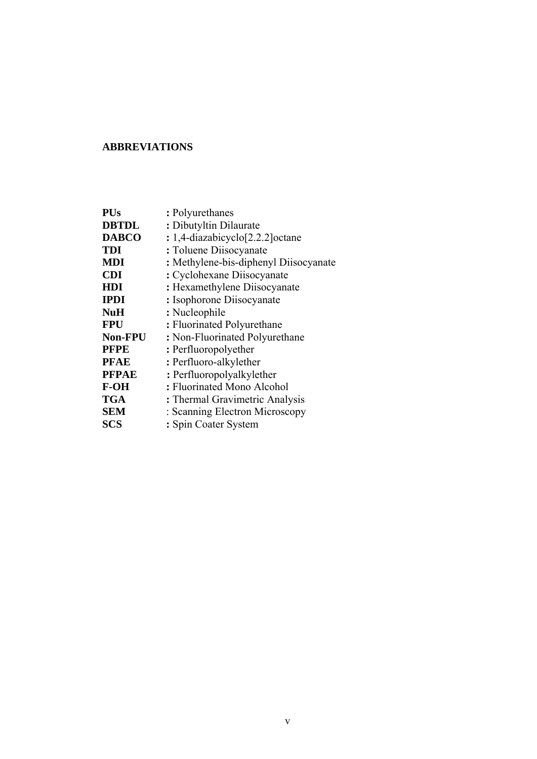## **ABBREVIATIONS**

| <b>PUs</b>     | : Polyurethanes                                 |
|----------------|-------------------------------------------------|
| <b>DBTDL</b>   | : Dibutyltin Dilaurate                          |
| <b>DABCO</b>   | $: 1,4$ -diazabicyclo <sup>[2.2.2]</sup> octane |
| <b>TDI</b>     | : Toluene Diisocyanate                          |
| <b>MDI</b>     | : Methylene-bis-diphenyl Diisocyanate           |
| <b>CDI</b>     | : Cyclohexane Diisocyanate                      |
| <b>HDI</b>     | : Hexamethylene Diisocyanate                    |
| <b>IPDI</b>    | : Isophorone Diisocyanate                       |
| <b>NuH</b>     | : Nucleophile                                   |
| <b>FPU</b>     | : Fluorinated Polyurethane                      |
| <b>Non-FPU</b> | : Non-Fluorinated Polyurethane                  |
| <b>PFPE</b>    | : Perfluoropolyether                            |
| <b>PFAE</b>    | : Perfluoro-alkylether                          |
| <b>PFPAE</b>   | : Perfluoropolyalkylether                       |
| $F-OH$         | : Fluorinated Mono Alcohol                      |
| <b>TGA</b>     | : Thermal Gravimetric Analysis                  |
| <b>SEM</b>     | : Scanning Electron Microscopy                  |
| <b>SCS</b>     | : Spin Coater System                            |
|                |                                                 |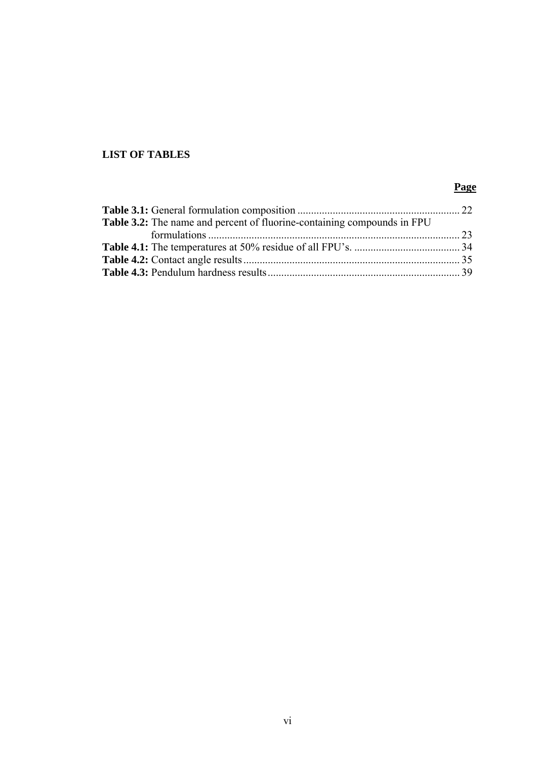## **LIST OF TABLES**

### *Page*

<span id="page-7-0"></span>

| Table 3.2: The name and percent of fluorine-containing compounds in FPU |  |
|-------------------------------------------------------------------------|--|
|                                                                         |  |
|                                                                         |  |
|                                                                         |  |
|                                                                         |  |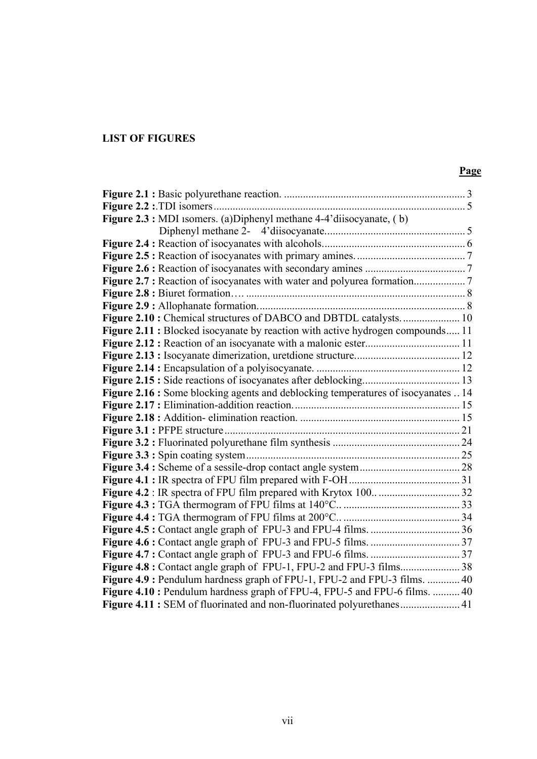## **LIST OF FIGURES**

#### *Page*

| Figure 2.3 : MDI isomers. (a)Diphenyl methane 4-4'diisocyanate, (b)               |  |
|-----------------------------------------------------------------------------------|--|
|                                                                                   |  |
|                                                                                   |  |
|                                                                                   |  |
|                                                                                   |  |
|                                                                                   |  |
|                                                                                   |  |
|                                                                                   |  |
| Figure 2.10: Chemical structures of DABCO and DBTDL catalysts 10                  |  |
| Figure 2.11 : Blocked isocyanate by reaction with active hydrogen compounds 11    |  |
|                                                                                   |  |
|                                                                                   |  |
|                                                                                   |  |
|                                                                                   |  |
| Figure 2.16 : Some blocking agents and deblocking temperatures of isocyanates  14 |  |
|                                                                                   |  |
|                                                                                   |  |
|                                                                                   |  |
|                                                                                   |  |
|                                                                                   |  |
|                                                                                   |  |
|                                                                                   |  |
|                                                                                   |  |
|                                                                                   |  |
|                                                                                   |  |
|                                                                                   |  |
|                                                                                   |  |
|                                                                                   |  |
|                                                                                   |  |
| Figure 4.9 : Pendulum hardness graph of FPU-1, FPU-2 and FPU-3 films.  40         |  |
| Figure 4.10: Pendulum hardness graph of FPU-4, FPU-5 and FPU-6 films.  40         |  |
|                                                                                   |  |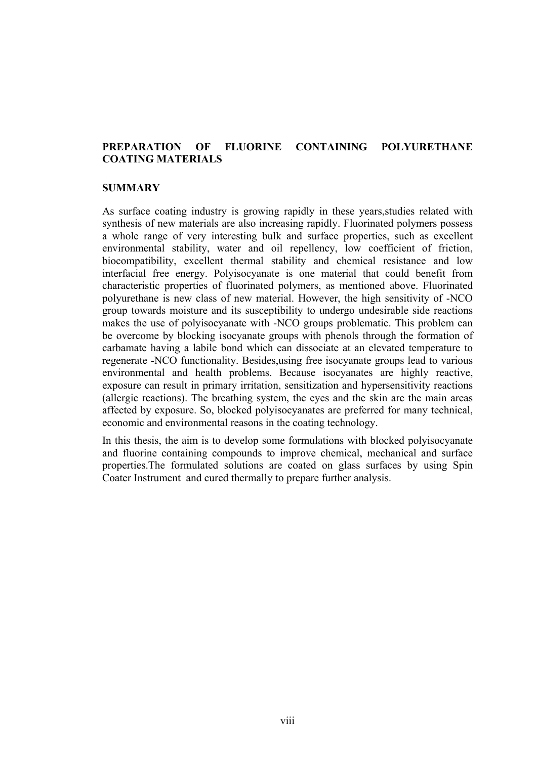## **PREPARATION OF FLUORINE CONTAINING POLYURETHANE COATING MATERIALS**

#### **SUMMARY**

As surface coating industry is growing rapidly in these years,studies related with synthesis of new materials are also increasing rapidly. Fluorinated polymers possess a whole range of very interesting bulk and surface properties, such as excellent environmental stability, water and oil repellency, low coefficient of friction, biocompatibility, excellent thermal stability and chemical resistance and low interfacial free energy. Polyisocyanate is one material that could benefit from characteristic properties of fluorinated polymers, as mentioned above. Fluorinated polyurethane is new class of new material. However, the high sensitivity of -NCO group towards moisture and its susceptibility to undergo undesirable side reactions makes the use of polyisocyanate with -NCO groups problematic. This problem can be overcome by blocking isocyanate groups with phenols through the formation of carbamate having a labile bond which can dissociate at an elevated temperature to regenerate -NCO functionality. Besides,using free isocyanate groups lead to various environmental and health problems. Because isocyanates are highly reactive, exposure can result in primary irritation, sensitization and hypersensitivity reactions (allergic reactions). The breathing system, the eyes and the skin are the main areas affected by exposure. So, blocked polyisocyanates are preferred for many technical, economic and environmental reasons in the coating technology.

In this thesis, the aim is to develop some formulations with blocked polyisocyanate and fluorine containing compounds to improve chemical, mechanical and surface properties.The formulated solutions are coated on glass surfaces by using Spin Coater Instrument and cured thermally to prepare further analysis.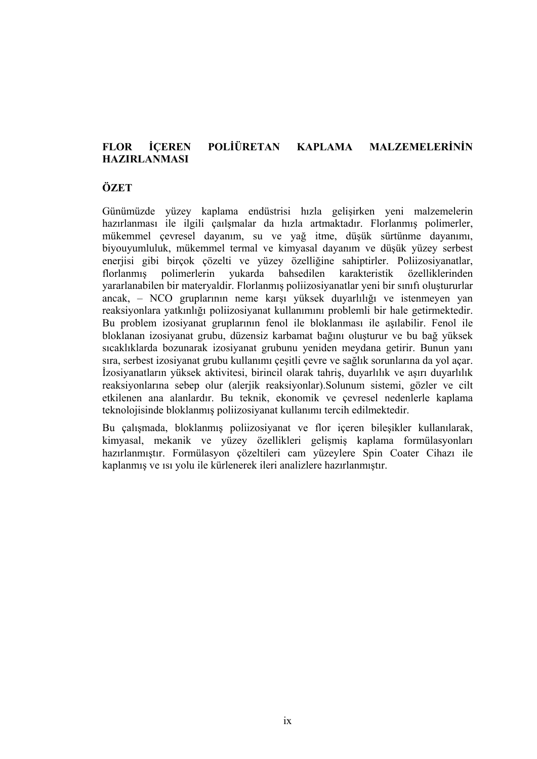## **FLOR İÇEREN POLİÜRETAN KAPLAMA MALZEMELERİNİN HAZIRLANMASI**

## **ÖZET**

Günümüzde yüzey kaplama endüstrisi hızla gelişirken yeni malzemelerin hazırlanması ile ilgili çaılşmalar da hızla artmaktadır. Florlanmış polimerler, mükemmel çevresel dayanım, su ve yağ itme, düşük sürtünme dayanımı, biyouyumluluk, mükemmel termal ve kimyasal dayanım ve düşük yüzey serbest enerjisi gibi birçok çözelti ve yüzey özelliğine sahiptirler. Poliizosiyanatlar, florlanmış polimerlerin yukarda bahsedilen karakteristik özelliklerinden yararlanabilen bir materyaldir. Florlanmış poliizosiyanatlar yeni bir sınıfı oluştururlar ancak, – NCO gruplarının neme karşı yüksek duyarlılığı ve istenmeyen yan reaksiyonlara yatkınlığı poliizosiyanat kullanımını problemli bir hale getirmektedir. Bu problem izosiyanat gruplarının fenol ile bloklanması ile aşılabilir. Fenol ile bloklanan izosiyanat grubu, düzensiz karbamat bağını oluşturur ve bu bağ yüksek sıcaklıklarda bozunarak izosiyanat grubunu yeniden meydana getirir. Bunun yanı sıra, serbest izosiyanat grubu kullanımı çeşitli çevre ve sağlık sorunlarına da yol açar. İzosiyanatların yüksek aktivitesi, birincil olarak tahriş, duyarlılık ve aşırı duyarlılık reaksiyonlarına sebep olur (alerjik reaksiyonlar).Solunum sistemi, gözler ve cilt etkilenen ana alanlardır. Bu teknik, ekonomik ve çevresel nedenlerle kaplama teknolojisinde bloklanmış poliizosiyanat kullanımı tercih edilmektedir.

Bu çalışmada, bloklanmış poliizosiyanat ve flor içeren bileşikler kullanılarak, kimyasal, mekanik ve yüzey özellikleri gelişmiş kaplama formülasyonları hazırlanmıştır. Formülasyon çözeltileri cam yüzeylere Spin Coater Cihazı ile kaplanmış ve ısı yolu ile kürlenerek ileri analizlere hazırlanmıştır.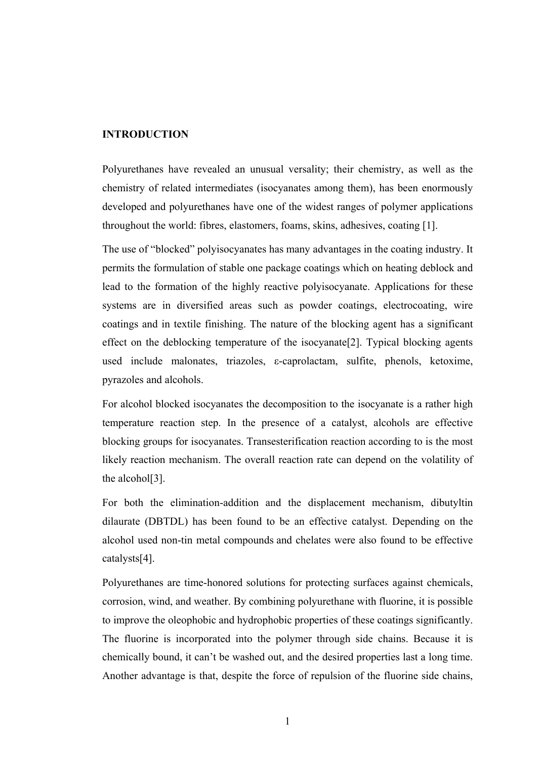#### **INTRODUCTION**

Polyurethanes have revealed an unusual versality; their chemistry, as well as the chemistry of related intermediates (isocyanates among them), has been enormously developed and polyurethanes have one of the widest ranges of polymer applications throughout the world: fibres, elastomers, foams, skins, adhesives, coating [1].

The use of "blocked" polyisocyanates has many advantages in the coating industry. It permits the formulation of stable one package coatings which on heating deblock and lead to the formation of the highly reactive polyisocyanate. Applications for these systems are in diversified areas such as powder coatings, electrocoating, wire coatings and in textile finishing. The nature of the blocking agent has a significant effect on the deblocking temperature of the isocyanate[2]. Typical blocking agents used include malonates, triazoles, ε-caprolactam, sulfite, phenols, ketoxime, pyrazoles and alcohols.

For alcohol blocked isocyanates the decomposition to the isocyanate is a rather high temperature reaction step. In the presence of a catalyst, alcohols are effective blocking groups for isocyanates. Transesterification reaction according to is the most likely reaction mechanism. The overall reaction rate can depend on the volatility of the alcohol[3].

For both the elimination-addition and the displacement mechanism, dibutyltin dilaurate (DBTDL) has been found to be an effective catalyst. Depending on the alcohol used non-tin metal compounds and chelates were also found to be effective catalysts[4].

Polyurethanes are time-honored solutions for protecting surfaces against chemicals, corrosion, wind, and weather. By combining polyurethane with fluorine, it is possible to improve the oleophobic and hydrophobic properties of these coatings significantly. The fluorine is incorporated into the polymer through side chains. Because it is chemically bound, it can't be washed out, and the desired properties last a long time. Another advantage is that, despite the force of repulsion of the fluorine side chains,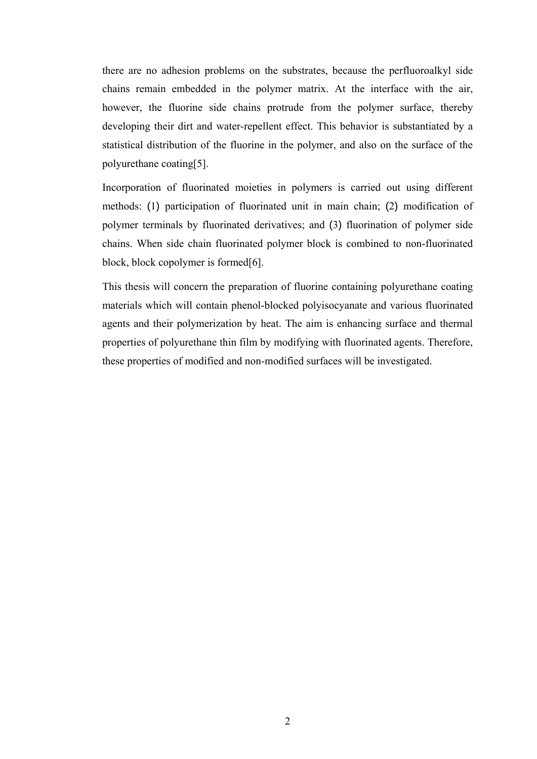there are no adhesion problems on the substrates, because the perfluoroalkyl side chains remain embedded in the polymer matrix. At the interface with the air, however, the fluorine side chains protrude from the polymer surface, thereby developing their dirt and water-repellent effect. This behavior is substantiated by a statistical distribution of the fluorine in the polymer, and also on the surface of the polyurethane coating[5].

Incorporation of fluorinated moieties in polymers is carried out using different methods: (1) participation of fluorinated unit in main chain; (2) modification of polymer terminals by fluorinated derivatives; and (3) fluorination of polymer side chains. When side chain fluorinated polymer block is combined to non-fluorinated block, block copolymer is formed[6].

This thesis will concern the preparation of fluorine containing polyurethane coating materials which will contain phenol-blocked polyisocyanate and various fluorinated agents and their polymerization by heat. The aim is enhancing surface and thermal properties of polyurethane thin film by modifying with fluorinated agents. Therefore, these properties of modified and non-modified surfaces will be investigated.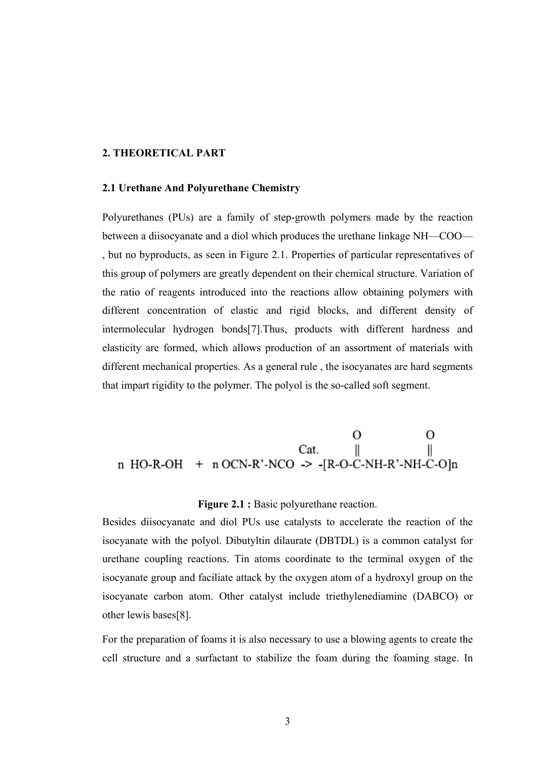### **2. THEORETICAL PART**

#### **2.1 Urethane And Polyurethane Chemistry**

Polyurethanes (PUs) are a family of step-growth polymers made by the reaction between a diisocyanate and a diol which produces the urethane linkage NH—COO— , but no byproducts, as seen in Figure 2.1. Properties of particular representatives of this group of polymers are greatly dependent on their chemical structure. Variation of the ratio of reagents introduced into the reactions allow obtaining polymers with different concentration of elastic and rigid blocks, and different density of intermolecular hydrogen bonds[7].Thus, products with different hardness and elasticity are formed, which allows production of an assortment of materials with different mechanical properties. As a general rule , the isocyanates are hard segments that impart rigidity to the polymer. The polyol is the so-called soft segment.

$$
\begin{array}{ccccc}\n & & & & 0 & & 0 \\
 & & & & & \text{Cat.} & \parallel & & \parallel \\
\text{n HO-R-OH} & + & n OCN-R'-NCO & & & -[R-O-C-NH-R'-NH-C-O]\text{n}\n\end{array}
$$

#### **Figure 2.1 :** Basic polyurethane reaction.

Besides diisocyanate and diol PUs use catalysts to accelerate the reaction of the isocyanate with the polyol. Dibutyltin dilaurate (DBTDL) is a common catalyst for urethane coupling reactions. Tin atoms coordinate to the terminal oxygen of the isocyanate group and faciliate attack by the oxygen atom of a hydroxyl group on the isocyanate carbon atom. Other catalyst include triethylenediamine (DABCO) or other lewis bases[8].

For the preparation of foams it is also necessary to use a blowing agents to create the cell structure and a surfactant to stabilize the foam during the foaming stage. In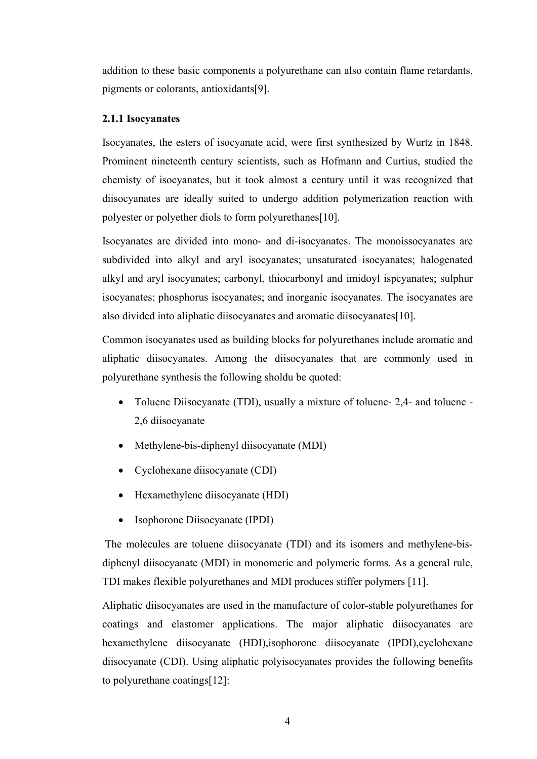addition to these basic components a polyurethane can also contain flame retardants, pigments or colorants, antioxidants[9].

## **2.1.1 Isocyanates**

Isocyanates, the esters of isocyanate acid, were first synthesized by Wurtz in 1848. Prominent nineteenth century scientists, such as Hofmann and Curtius, studied the chemisty of isocyanates, but it took almost a century until it was recognized that diisocyanates are ideally suited to undergo addition polymerization reaction with polyester or polyether diols to form polyurethanes[10].

Isocyanates are divided into mono- and di-isocyanates. The monoissocyanates are subdivided into alkyl and aryl isocyanates; unsaturated isocyanates; halogenated alkyl and aryl isocyanates; carbonyl, thiocarbonyl and imidoyl ispcyanates; sulphur isocyanates; phosphorus isocyanates; and inorganic isocyanates. The isocyanates are also divided into aliphatic diisocyanates and aromatic diisocyanates[10].

Common isocyanates used as building blocks for polyurethanes include aromatic and aliphatic diisocyanates. Among the diisocyanates that are commonly used in polyurethane synthesis the following sholdu be quoted:

- Toluene Diisocyanate (TDI), usually a mixture of toluene- 2,4- and toluene 2,6 diisocyanate
- Methylene-bis-diphenyl diisocyanate (MDI)
- Cyclohexane diisocyanate (CDI)
- Hexamethylene diisocyanate (HDI)
- Isophorone Diisocyanate (IPDI)

 The molecules are toluene diisocyanate (TDI) and its isomers and methylene-bisdiphenyl diisocyanate (MDI) in monomeric and polymeric forms. As a general rule, TDI makes flexible polyurethanes and MDI produces stiffer polymers [11].

Aliphatic diisocyanates are used in the manufacture of color-stable polyurethanes for coatings and elastomer applications. The major aliphatic diisocyanates are hexamethylene diisocyanate (HDI),isophorone diisocyanate (IPDI),cyclohexane diisocyanate (CDI). Using aliphatic polyisocyanates provides the following benefits to polyurethane coatings[12]: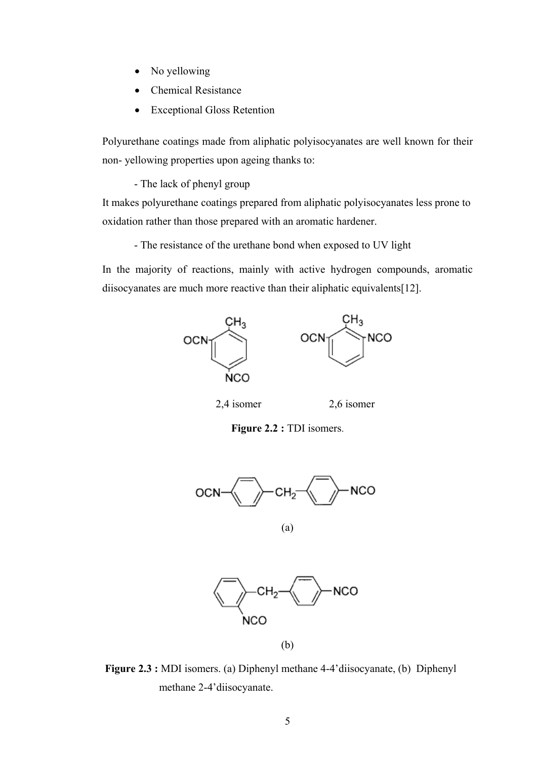- No yellowing
- Chemical Resistance
- Exceptional Gloss Retention

Polyurethane coatings made from aliphatic polyisocyanates are well known for their non- yellowing properties upon ageing thanks to:

- The lack of phenyl group

It makes polyurethane coatings prepared from aliphatic polyisocyanates less prone to oxidation rather than those prepared with an aromatic hardener.

- The resistance of the urethane bond when exposed to UV light

In the majority of reactions, mainly with active hydrogen compounds, aromatic diisocyanates are much more reactive than their aliphatic equivalents[12].



2,4 isomer 2,6 isomer

**Figure 2.2 : TDI isomers.** 



(a)



(b)

**Figure 2.3 :** MDI isomers. (a) Diphenyl methane 4-4'diisocyanate, (b) Diphenyl methane 2-4'diisocyanate.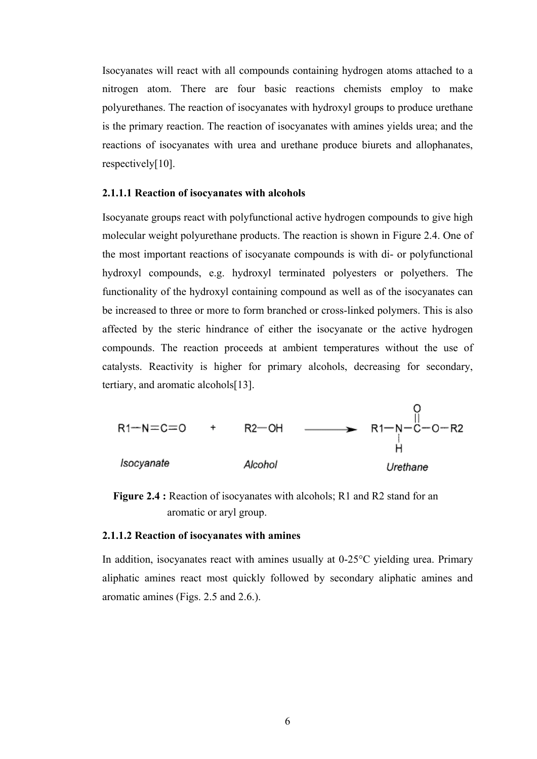Isocyanates will react with all compounds containing hydrogen atoms attached to a nitrogen atom. There are four basic reactions chemists employ to make polyurethanes. The reaction of isocyanates with hydroxyl groups to produce urethane is the primary reaction. The reaction of isocyanates with amines yields urea; and the reactions of isocyanates with urea and urethane produce biurets and allophanates, respectively[10].

#### **2.1.1.1 Reaction of isocyanates with alcohols**

Isocyanate groups react with polyfunctional active hydrogen compounds to give high molecular weight polyurethane products. The reaction is shown in Figure 2.4. One of the most important reactions of isocyanate compounds is with di- or polyfunctional hydroxyl compounds, e.g. hydroxyl terminated polyesters or polyethers. The functionality of the hydroxyl containing compound as well as of the isocyanates can be increased to three or more to form branched or cross-linked polymers. This is also affected by the steric hindrance of either the isocyanate or the active hydrogen compounds. The reaction proceeds at ambient temperatures without the use of catalysts. Reactivity is higher for primary alcohols, decreasing for secondary, tertiary, and aromatic alcohols[13].



**Figure 2.4 :** Reaction of isocyanates with alcohols; R1 and R2 stand for an aromatic or aryl group.

#### **2.1.1.2 Reaction of isocyanates with amines**

In addition, isocyanates react with amines usually at 0-25°C yielding urea. Primary aliphatic amines react most quickly followed by secondary aliphatic amines and aromatic amines (Figs. 2.5 and 2.6.).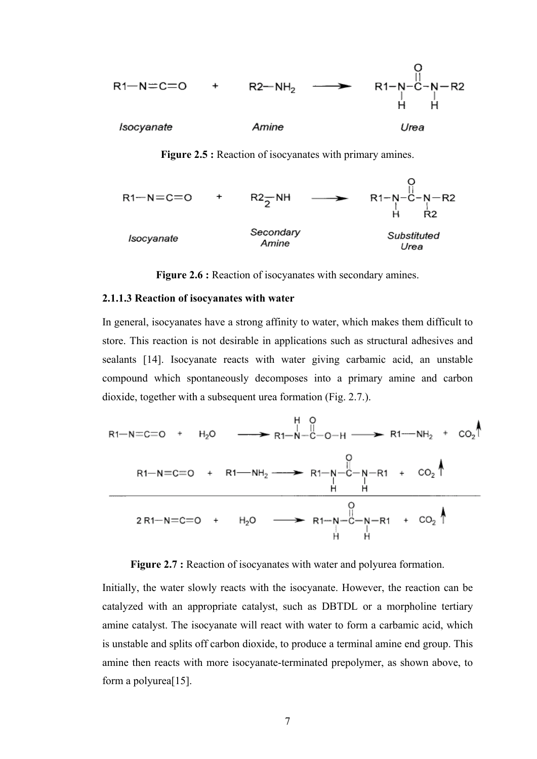

**Figure 2.5 :** Reaction of isocyanates with primary amines.



Figure 2.6 : Reaction of isocyanates with secondary amines.

#### **2.1.1.3 Reaction of isocyanates with water**

In general, isocyanates have a strong affinity to water, which makes them difficult to store. This reaction is not desirable in applications such as structural adhesives and sealants [14]. Isocyanate reacts with water giving carbamic acid, an unstable compound which spontaneously decomposes into a primary amine and carbon dioxide, together with a subsequent urea formation (Fig. 2.7.).





Initially, the water slowly reacts with the isocyanate. However, the reaction can be catalyzed with an appropriate catalyst, such as DBTDL or a morpholine tertiary amine catalyst. The isocyanate will react with water to form a carbamic acid, which is unstable and splits off carbon dioxide, to produce a terminal amine end group. This amine then reacts with more isocyanate-terminated prepolymer, as shown above, to form a polyurea[15].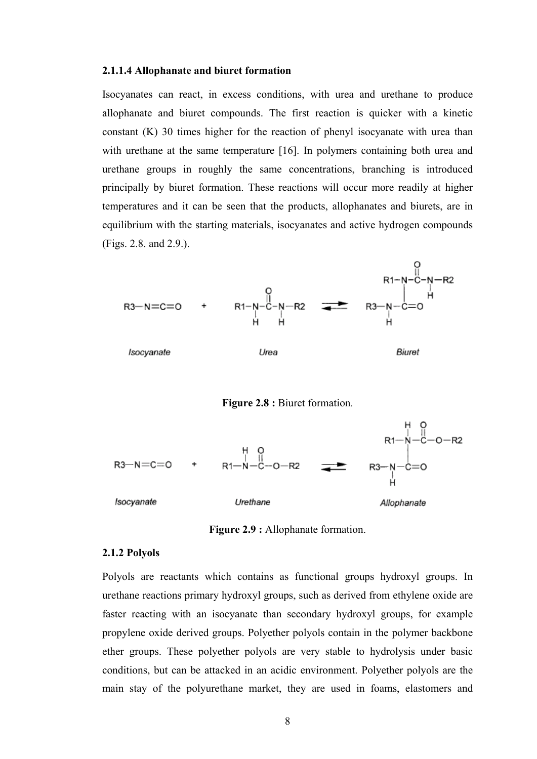#### **2.1.1.4 Allophanate and biuret formation**

Isocyanates can react, in excess conditions, with urea and urethane to produce allophanate and biuret compounds. The first reaction is quicker with a kinetic constant (K) 30 times higher for the reaction of phenyl isocyanate with urea than with urethane at the same temperature [16]. In polymers containing both urea and urethane groups in roughly the same concentrations, branching is introduced principally by biuret formation. These reactions will occur more readily at higher temperatures and it can be seen that the products, allophanates and biurets, are in equilibrium with the starting materials, isocyanates and active hydrogen compounds (Figs. 2.8. and 2.9.).







**Figure 2.9 :** Allophanate formation.

#### **2.1.2 Polyols**

Polyols are reactants which contains as functional groups hydroxyl groups. In urethane reactions primary hydroxyl groups, such as derived from ethylene oxide are faster reacting with an isocyanate than secondary hydroxyl groups, for example propylene oxide derived groups. Polyether polyols contain in the polymer backbone ether groups. These polyether polyols are very stable to hydrolysis under basic conditions, but can be attacked in an acidic environment. Polyether polyols are the main stay of the polyurethane market, they are used in foams, elastomers and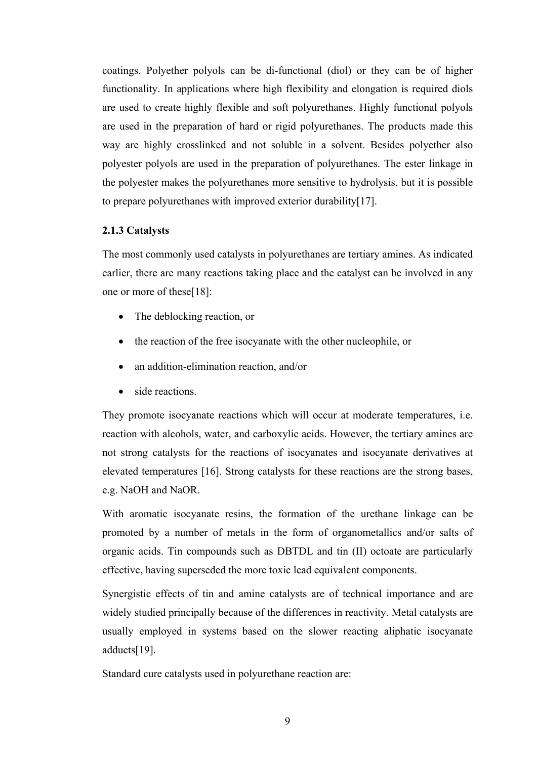coatings. Polyether polyols can be di-functional (diol) or they can be of higher functionality. In applications where high flexibility and elongation is required diols are used to create highly flexible and soft polyurethanes. Highly functional polyols are used in the preparation of hard or rigid polyurethanes. The products made this way are highly crosslinked and not soluble in a solvent. Besides polyether also polyester polyols are used in the preparation of polyurethanes. The ester linkage in the polyester makes the polyurethanes more sensitive to hydrolysis, but it is possible to prepare polyurethanes with improved exterior durability[17].

## **2.1.3 Catalysts**

The most commonly used catalysts in polyurethanes are tertiary amines. As indicated earlier, there are many reactions taking place and the catalyst can be involved in any one or more of these[18]:

- The deblocking reaction, or
- the reaction of the free isocyanate with the other nucleophile, or
- an addition-elimination reaction, and/or
- side reactions.

They promote isocyanate reactions which will occur at moderate temperatures, i.e. reaction with alcohols, water, and carboxylic acids. However, the tertiary amines are not strong catalysts for the reactions of isocyanates and isocyanate derivatives at elevated temperatures [16]. Strong catalysts for these reactions are the strong bases, e.g. NaOH and NaOR.

With aromatic isocyanate resins, the formation of the urethane linkage can be promoted by a number of metals in the form of organometallics and/or salts of organic acids. Tin compounds such as DBTDL and tin (II) octoate are particularly effective, having superseded the more toxic lead equivalent components.

Synergistic effects of tin and amine catalysts are of technical importance and are widely studied principally because of the differences in reactivity. Metal catalysts are usually employed in systems based on the slower reacting aliphatic isocyanate adducts[19].

Standard cure catalysts used in polyurethane reaction are: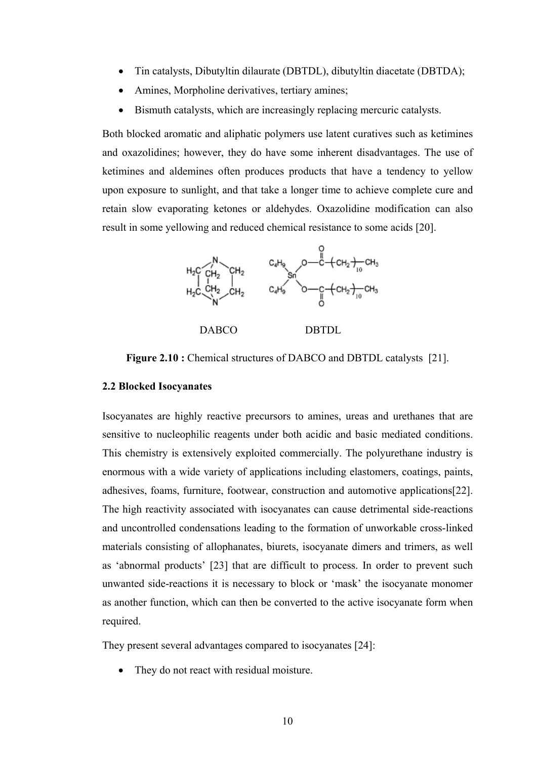- Tin catalysts, Dibutyltin dilaurate (DBTDL), dibutyltin diacetate (DBTDA);
- Amines, Morpholine derivatives, tertiary amines;
- Bismuth catalysts, which are increasingly replacing mercuric catalysts.

Both blocked aromatic and aliphatic polymers use latent curatives such as ketimines and oxazolidines; however, they do have some inherent disadvantages. The use of ketimines and aldemines often produces products that have a tendency to yellow upon exposure to sunlight, and that take a longer time to achieve complete cure and retain slow evaporating ketones or aldehydes. Oxazolidine modification can also result in some yellowing and reduced chemical resistance to some acids [20].



**Figure 2.10 :** Chemical structures of DABCO and DBTDL catalysts [21].

#### **2.2 Blocked Isocyanates**

Isocyanates are highly reactive precursors to amines, ureas and urethanes that are sensitive to nucleophilic reagents under both acidic and basic mediated conditions. This chemistry is extensively exploited commercially. The polyurethane industry is enormous with a wide variety of applications including elastomers, coatings, paints, adhesives, foams, furniture, footwear, construction and automotive applications[22]. The high reactivity associated with isocyanates can cause detrimental side-reactions and uncontrolled condensations leading to the formation of unworkable cross-linked materials consisting of allophanates, biurets, isocyanate dimers and trimers, as well as 'abnormal products' [23] that are difficult to process. In order to prevent such unwanted side-reactions it is necessary to block or 'mask' the isocyanate monomer as another function, which can then be converted to the active isocyanate form when required.

They present several advantages compared to isocyanates [24]:

They do not react with residual moisture.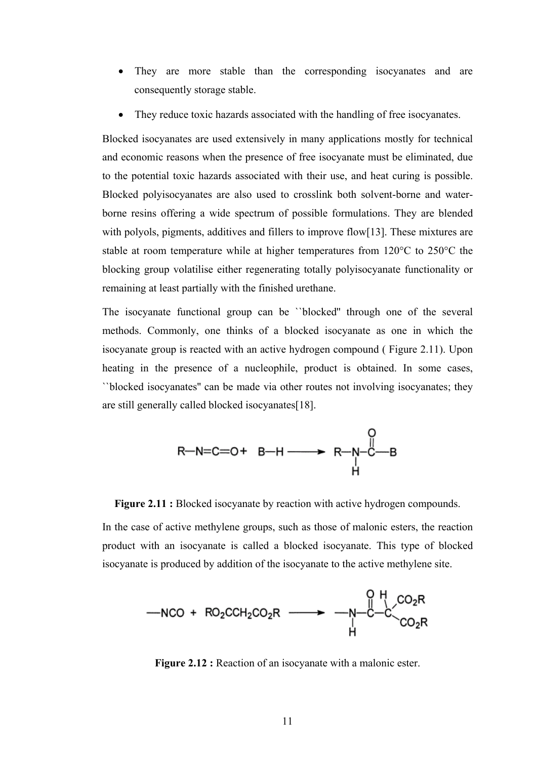- They are more stable than the corresponding isocyanates and are consequently storage stable.
- They reduce toxic hazards associated with the handling of free isocyanates.

Blocked isocyanates are used extensively in many applications mostly for technical and economic reasons when the presence of free isocyanate must be eliminated, due to the potential toxic hazards associated with their use, and heat curing is possible. Blocked polyisocyanates are also used to crosslink both solvent-borne and waterborne resins offering a wide spectrum of possible formulations. They are blended with polyols, pigments, additives and fillers to improve flow[13]. These mixtures are stable at room temperature while at higher temperatures from 120°C to 250°C the blocking group volatilise either regenerating totally polyisocyanate functionality or remaining at least partially with the finished urethane.

The isocyanate functional group can be ``blocked'' through one of the several methods. Commonly, one thinks of a blocked isocyanate as one in which the isocyanate group is reacted with an active hydrogen compound ( Figure 2.11). Upon heating in the presence of a nucleophile, product is obtained. In some cases, ``blocked isocyanates'' can be made via other routes not involving isocyanates; they are still generally called blocked isocyanates[18].



**Figure 2.11 :** Blocked isocyanate by reaction with active hydrogen compounds.

In the case of active methylene groups, such as those of malonic esters, the reaction product with an isocyanate is called a blocked isocyanate. This type of blocked isocyanate is produced by addition of the isocyanate to the active methylene site.



**Figure 2.12 :** Reaction of an isocyanate with a malonic ester.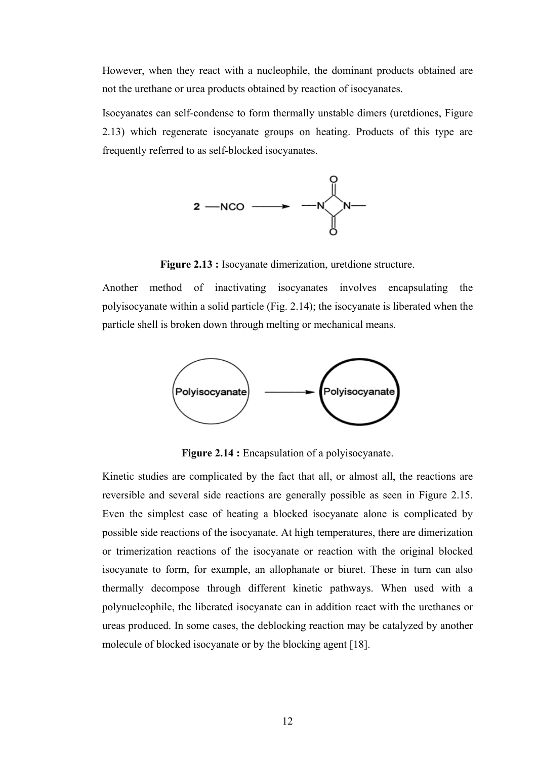However, when they react with a nucleophile, the dominant products obtained are not the urethane or urea products obtained by reaction of isocyanates.

Isocyanates can self-condense to form thermally unstable dimers (uretdiones, Figure 2.13) which regenerate isocyanate groups on heating. Products of this type are frequently referred to as self-blocked isocyanates.



**Figure 2.13 :** Isocyanate dimerization, uretdione structure.

Another method of inactivating isocyanates involves encapsulating the polyisocyanate within a solid particle (Fig. 2.14); the isocyanate is liberated when the particle shell is broken down through melting or mechanical means.



**Figure 2.14 :** Encapsulation of a polyisocyanate.

Kinetic studies are complicated by the fact that all, or almost all, the reactions are reversible and several side reactions are generally possible as seen in Figure 2.15. Even the simplest case of heating a blocked isocyanate alone is complicated by possible side reactions of the isocyanate. At high temperatures, there are dimerization or trimerization reactions of the isocyanate or reaction with the original blocked isocyanate to form, for example, an allophanate or biuret. These in turn can also thermally decompose through different kinetic pathways. When used with a polynucleophile, the liberated isocyanate can in addition react with the urethanes or ureas produced. In some cases, the deblocking reaction may be catalyzed by another molecule of blocked isocyanate or by the blocking agent [18].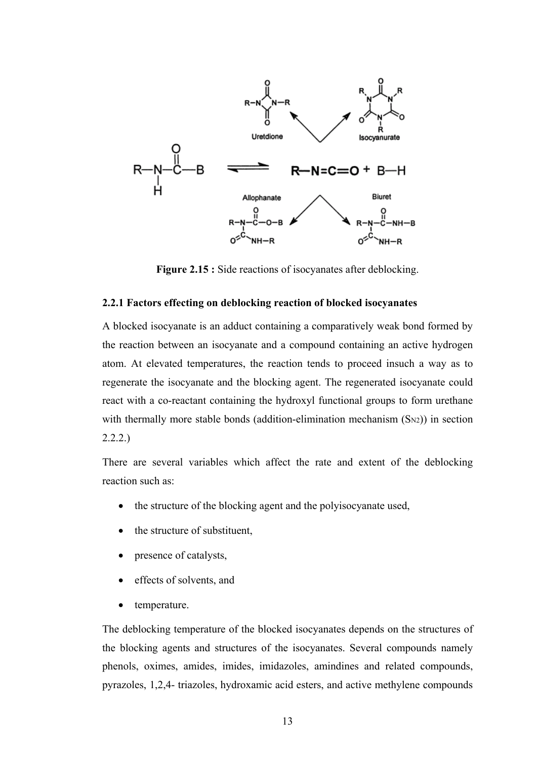

**Figure 2.15 :** Side reactions of isocyanates after deblocking.

#### **2.2.1 Factors effecting on deblocking reaction of blocked isocyanates**

A blocked isocyanate is an adduct containing a comparatively weak bond formed by the reaction between an isocyanate and a compound containing an active hydrogen atom. At elevated temperatures, the reaction tends to proceed insuch a way as to regenerate the isocyanate and the blocking agent. The regenerated isocyanate could react with a co-reactant containing the hydroxyl functional groups to form urethane with thermally more stable bonds (addition-elimination mechanism  $(S_{N2})$ ) in section 2.2.2.)

There are several variables which affect the rate and extent of the deblocking reaction such as:

- the structure of the blocking agent and the polyisocyanate used,
- the structure of substituent,
- presence of catalysts,
- effects of solvents, and
- temperature.

The deblocking temperature of the blocked isocyanates depends on the structures of the blocking agents and structures of the isocyanates. Several compounds namely phenols, oximes, amides, imides, imidazoles, amindines and related compounds, pyrazoles, 1,2,4- triazoles, hydroxamic acid esters, and active methylene compounds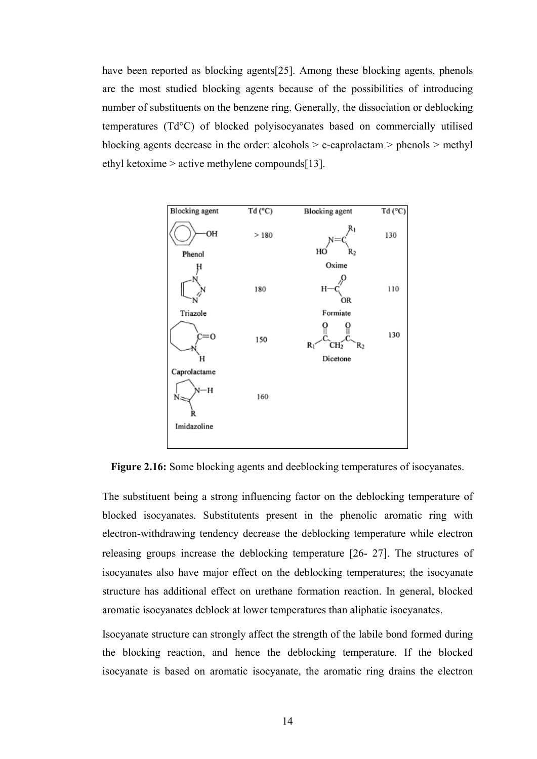have been reported as blocking agents[25]. Among these blocking agents, phenols are the most studied blocking agents because of the possibilities of introducing number of substituents on the benzene ring. Generally, the dissociation or deblocking temperatures (Td°C) of blocked polyisocyanates based on commercially utilised blocking agents decrease in the order: alcohols  $> e$ -caprolactam  $>$  phenols  $>$  methyl ethyl ketoxime > active methylene compounds[13].



**Figure 2.16:** Some blocking agents and deeblocking temperatures of isocyanates.

The substituent being a strong influencing factor on the deblocking temperature of blocked isocyanates. Substitutents present in the phenolic aromatic ring with electron-withdrawing tendency decrease the deblocking temperature while electron releasing groups increase the deblocking temperature [26- 27]. The structures of isocyanates also have major effect on the deblocking temperatures; the isocyanate structure has additional effect on urethane formation reaction. In general, blocked aromatic isocyanates deblock at lower temperatures than aliphatic isocyanates.

Isocyanate structure can strongly affect the strength of the labile bond formed during the blocking reaction, and hence the deblocking temperature. If the blocked isocyanate is based on aromatic isocyanate, the aromatic ring drains the electron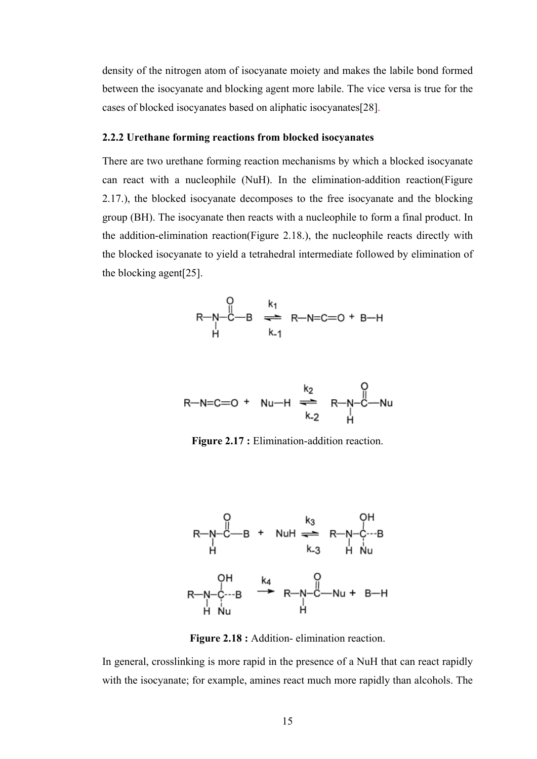density of the nitrogen atom of isocyanate moiety and makes the labile bond formed between the isocyanate and blocking agent more labile. The vice versa is true for the cases of blocked isocyanates based on aliphatic isocyanates[28].

#### **2.2.2 Urethane forming reactions from blocked isocyanates**

There are two urethane forming reaction mechanisms by which a blocked isocyanate can react with a nucleophile (NuH). In the elimination-addition reaction(Figure 2.17.), the blocked isocyanate decomposes to the free isocyanate and the blocking group (BH). The isocyanate then reacts with a nucleophile to form a final product. In the addition-elimination reaction(Figure 2.18.), the nucleophile reacts directly with the blocked isocyanate to yield a tetrahedral intermediate followed by elimination of the blocking agent[25].

$$
\begin{array}{ccc}\n & 0 & k_1 \\
R-N-C-B & \rightleftharpoons & R-N=C=O + B-H \\
 & | & k_1 \\
\end{array}
$$

$$
R - N = C = O + Nu - H \begin{array}{c} k_2 & O \\ \hline \uparrow \\ k_2 & R - N - C - Nu \\ k_2 & H \end{array}
$$

**Figure 2.17 :** Elimination-addition reaction.



**Figure 2.18 :** Addition- elimination reaction.

In general, crosslinking is more rapid in the presence of a NuH that can react rapidly with the isocyanate; for example, amines react much more rapidly than alcohols. The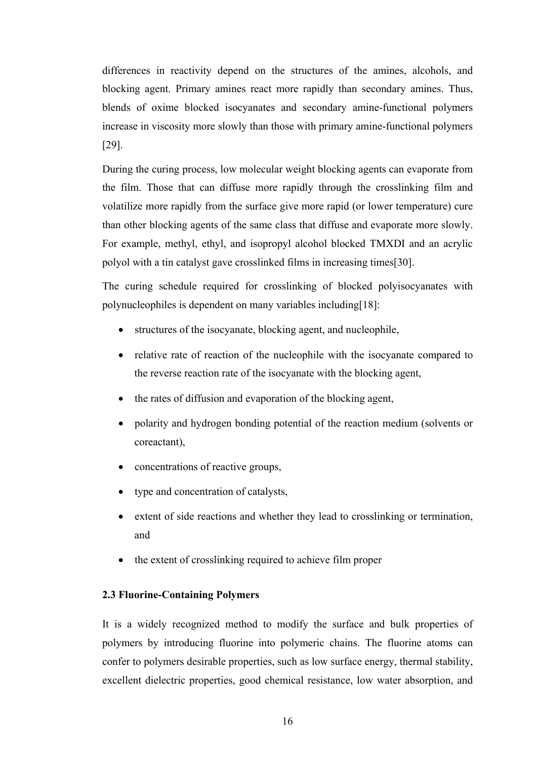differences in reactivity depend on the structures of the amines, alcohols, and blocking agent. Primary amines react more rapidly than secondary amines. Thus, blends of oxime blocked isocyanates and secondary amine-functional polymers increase in viscosity more slowly than those with primary amine-functional polymers [29].

During the curing process, low molecular weight blocking agents can evaporate from the film. Those that can diffuse more rapidly through the crosslinking film and volatilize more rapidly from the surface give more rapid (or lower temperature) cure than other blocking agents of the same class that diffuse and evaporate more slowly. For example, methyl, ethyl, and isopropyl alcohol blocked TMXDI and an acrylic polyol with a tin catalyst gave crosslinked films in increasing times[30].

The curing schedule required for crosslinking of blocked polyisocyanates with polynucleophiles is dependent on many variables including[18]:

- structures of the isocyanate, blocking agent, and nucleophile,
- relative rate of reaction of the nucleophile with the isocyanate compared to the reverse reaction rate of the isocyanate with the blocking agent,
- the rates of diffusion and evaporation of the blocking agent,
- polarity and hydrogen bonding potential of the reaction medium (solvents or coreactant),
- concentrations of reactive groups,
- type and concentration of catalysts,
- extent of side reactions and whether they lead to crosslinking or termination, and
- the extent of crosslinking required to achieve film proper

## **2.3 Fluorine-Containing Polymers**

It is a widely recognized method to modify the surface and bulk properties of polymers by introducing fluorine into polymeric chains. The fluorine atoms can confer to polymers desirable properties, such as low surface energy, thermal stability, excellent dielectric properties, good chemical resistance, low water absorption, and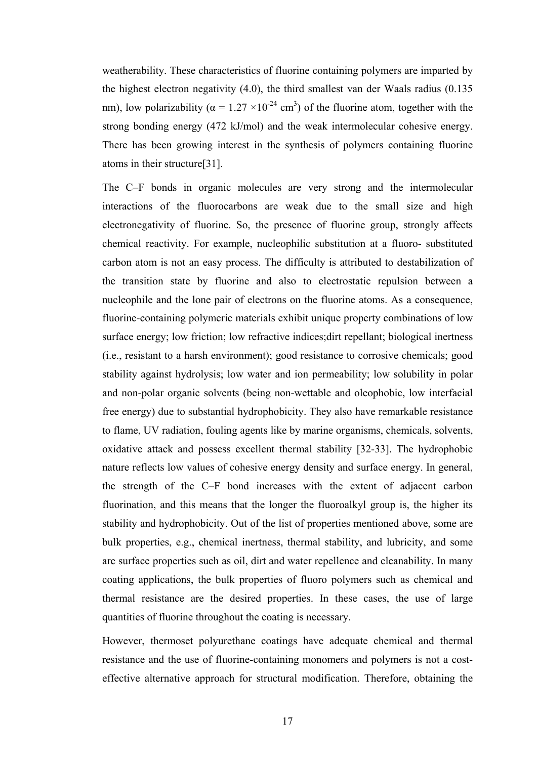weatherability. These characteristics of fluorine containing polymers are imparted by the highest electron negativity (4.0), the third smallest van der Waals radius (0.135 nm), low polarizability ( $\alpha = 1.27 \times 10^{-24}$  cm<sup>3</sup>) of the fluorine atom, together with the strong bonding energy (472 kJ/mol) and the weak intermolecular cohesive energy. There has been growing interest in the synthesis of polymers containing fluorine atoms in their structure[31].

The C–F bonds in organic molecules are very strong and the intermolecular interactions of the fluorocarbons are weak due to the small size and high electronegativity of fluorine. So, the presence of fluorine group, strongly affects chemical reactivity. For example, nucleophilic substitution at a fluoro- substituted carbon atom is not an easy process. The difficulty is attributed to destabilization of the transition state by fluorine and also to electrostatic repulsion between a nucleophile and the lone pair of electrons on the fluorine atoms. As a consequence, fluorine-containing polymeric materials exhibit unique property combinations of low surface energy; low friction; low refractive indices;dirt repellant; biological inertness (i.e., resistant to a harsh environment); good resistance to corrosive chemicals; good stability against hydrolysis; low water and ion permeability; low solubility in polar and non-polar organic solvents (being non-wettable and oleophobic, low interfacial free energy) due to substantial hydrophobicity. They also have remarkable resistance to flame, UV radiation, fouling agents like by marine organisms, chemicals, solvents, oxidative attack and possess excellent thermal stability [32-33]. The hydrophobic nature reflects low values of cohesive energy density and surface energy. In general, the strength of the C–F bond increases with the extent of adjacent carbon fluorination, and this means that the longer the fluoroalkyl group is, the higher its stability and hydrophobicity. Out of the list of properties mentioned above, some are bulk properties, e.g., chemical inertness, thermal stability, and lubricity, and some are surface properties such as oil, dirt and water repellence and cleanability. In many coating applications, the bulk properties of fluoro polymers such as chemical and thermal resistance are the desired properties. In these cases, the use of large quantities of fluorine throughout the coating is necessary.

However, thermoset polyurethane coatings have adequate chemical and thermal resistance and the use of fluorine-containing monomers and polymers is not a costeffective alternative approach for structural modification. Therefore, obtaining the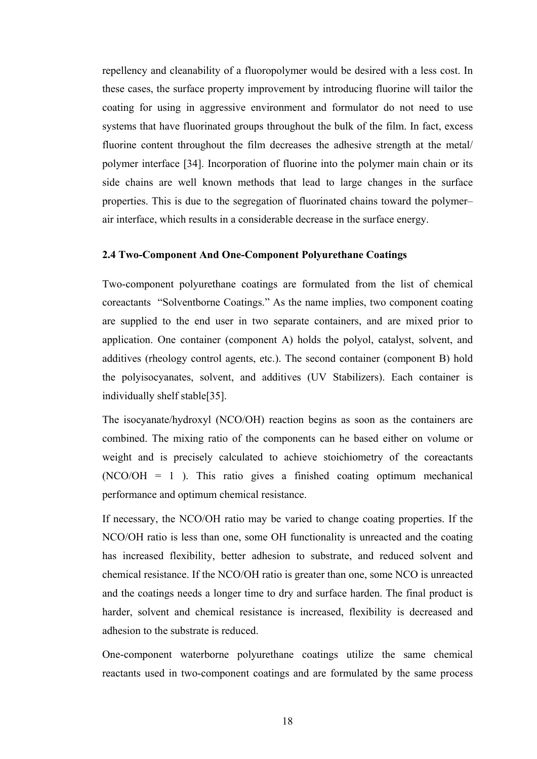repellency and cleanability of a fluoropolymer would be desired with a less cost. In these cases, the surface property improvement by introducing fluorine will tailor the coating for using in aggressive environment and formulator do not need to use systems that have fluorinated groups throughout the bulk of the film. In fact, excess fluorine content throughout the film decreases the adhesive strength at the metal/ polymer interface [34]. Incorporation of fluorine into the polymer main chain or its side chains are well known methods that lead to large changes in the surface properties. This is due to the segregation of fluorinated chains toward the polymer– air interface, which results in a considerable decrease in the surface energy.

#### **2.4 Two-Component And One-Component Polyurethane Coatings**

Two-component polyurethane coatings are formulated from the list of chemical coreactants "Solventborne Coatings." As the name implies, two component coating are supplied to the end user in two separate containers, and are mixed prior to application. One container (component A) holds the polyol, catalyst, solvent, and additives (rheology control agents, etc.). The second container (component B) hold the polyisocyanates, solvent, and additives (UV Stabilizers). Each container is individually shelf stable[35].

The isocyanate/hydroxyl (NCO/OH) reaction begins as soon as the containers are combined. The mixing ratio of the components can he based either on volume or weight and is precisely calculated to achieve stoichiometry of the coreactants  $(NCO/OH = 1)$ . This ratio gives a finished coating optimum mechanical performance and optimum chemical resistance.

If necessary, the NCO/OH ratio may be varied to change coating properties. If the NCO/OH ratio is less than one, some OH functionality is unreacted and the coating has increased flexibility, better adhesion to substrate, and reduced solvent and chemical resistance. If the NCO/OH ratio is greater than one, some NCO is unreacted and the coatings needs a longer time to dry and surface harden. The final product is harder, solvent and chemical resistance is increased, flexibility is decreased and adhesion to the substrate is reduced.

One-component waterborne polyurethane coatings utilize the same chemical reactants used in two-component coatings and are formulated by the same process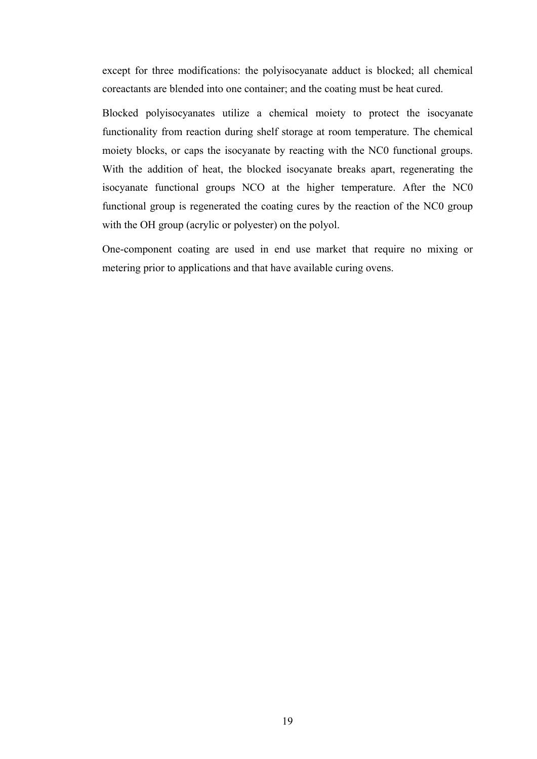except for three modifications: the polyisocyanate adduct is blocked; all chemical coreactants are blended into one container; and the coating must be heat cured.

Blocked polyisocyanates utilize a chemical moiety to protect the isocyanate functionality from reaction during shelf storage at room temperature. The chemical moiety blocks, or caps the isocyanate by reacting with the NC0 functional groups. With the addition of heat, the blocked isocyanate breaks apart, regenerating the isocyanate functional groups NCO at the higher temperature. After the NC0 functional group is regenerated the coating cures by the reaction of the NC0 group with the OH group (acrylic or polyester) on the polyol.

One-component coating are used in end use market that require no mixing or metering prior to applications and that have available curing ovens.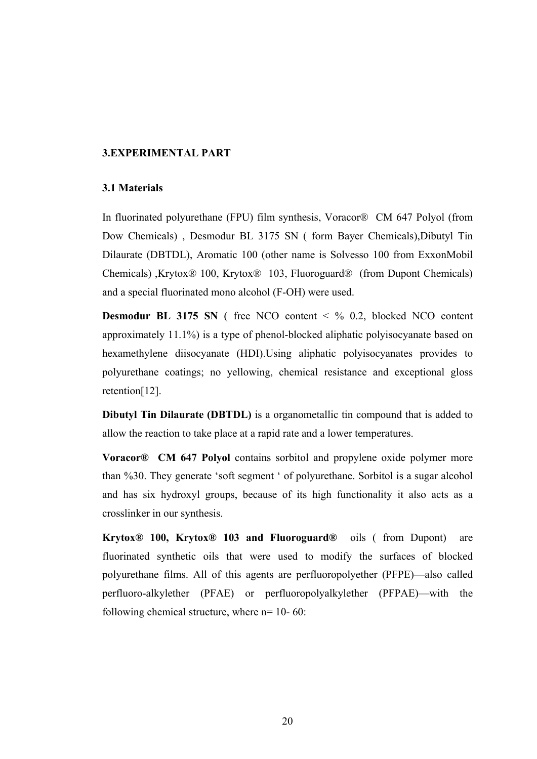### **3.EXPERIMENTAL PART**

#### **3.1 Materials**

In fluorinated polyurethane (FPU) film synthesis, Voracor® CM 647 Polyol (from Dow Chemicals) , Desmodur BL 3175 SN ( form Bayer Chemicals),Dibutyl Tin Dilaurate (DBTDL), Aromatic 100 (other name is Solvesso 100 from ExxonMobil Chemicals) ,Krytox® 100, Krytox® 103, Fluoroguard® (from Dupont Chemicals) and a special fluorinated mono alcohol (F-OH) were used.

**Desmodur BL 3175 SN** ( free NCO content < % 0.2, blocked NCO content approximately 11.1%) is a type of phenol-blocked aliphatic polyisocyanate based on hexamethylene diisocyanate (HDI).Using aliphatic polyisocyanates provides to polyurethane coatings; no yellowing, chemical resistance and exceptional gloss retention[12].

**Dibutyl Tin Dilaurate (DBTDL)** is a organometallic tin compound that is added to allow the reaction to take place at a rapid rate and a lower temperatures.

**Voracor® CM 647 Polyol** contains sorbitol and propylene oxide polymer more than %30. They generate 'soft segment ' of polyurethane. Sorbitol is a sugar alcohol and has six hydroxyl groups, because of its high functionality it also acts as a crosslinker in our synthesis.

**Krytox® 100, Krytox® 103 and Fluoroguard®** oils ( from Dupont) are fluorinated synthetic oils that were used to modify the surfaces of blocked polyurethane films. All of this agents are perfluoropolyether (PFPE)—also called perfluoro-alkylether (PFAE) or perfluoropolyalkylether (PFPAE)—with the following chemical structure, where n= 10- 60: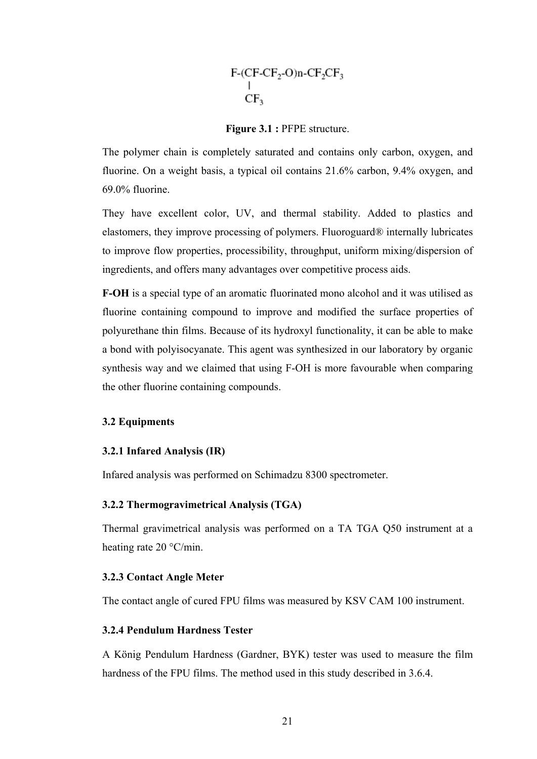$$
\begin{array}{c}\nF\text{-}\mathrm{CF}\text{-}\mathrm{CF}_2\text{-}\mathrm{O})n\text{-}\mathrm{CF}_2\mathrm{CF}_3 \\
\text{-}\mathrm{CF}_3\n\end{array}
$$

#### **Figure 3.1 :** PFPE structure.

The polymer chain is completely saturated and contains only carbon, oxygen, and fluorine. On a weight basis, a typical oil contains 21.6% carbon, 9.4% oxygen, and 69.0% fluorine.

They have excellent color, UV, and thermal stability. Added to plastics and elastomers, they improve processing of polymers. Fluoroguard® internally lubricates to improve flow properties, processibility, throughput, uniform mixing/dispersion of ingredients, and offers many advantages over competitive process aids.

**F-OH** is a special type of an aromatic fluorinated mono alcohol and it was utilised as fluorine containing compound to improve and modified the surface properties of polyurethane thin films. Because of its hydroxyl functionality, it can be able to make a bond with polyisocyanate. This agent was synthesized in our laboratory by organic synthesis way and we claimed that using F-OH is more favourable when comparing the other fluorine containing compounds.

#### **3.2 Equipments**

#### **3.2.1 Infared Analysis (IR)**

Infared analysis was performed on Schimadzu 8300 spectrometer.

#### **3.2.2 Thermogravimetrical Analysis (TGA)**

Thermal gravimetrical analysis was performed on a TA TGA Q50 instrument at a heating rate 20 °C/min.

#### **3.2.3 Contact Angle Meter**

The contact angle of cured FPU films was measured by KSV CAM 100 instrument.

## **3.2.4 Pendulum Hardness Tester**

A König Pendulum Hardness (Gardner, BYK) tester was used to measure the film hardness of the FPU films. The method used in this study described in 3.6.4.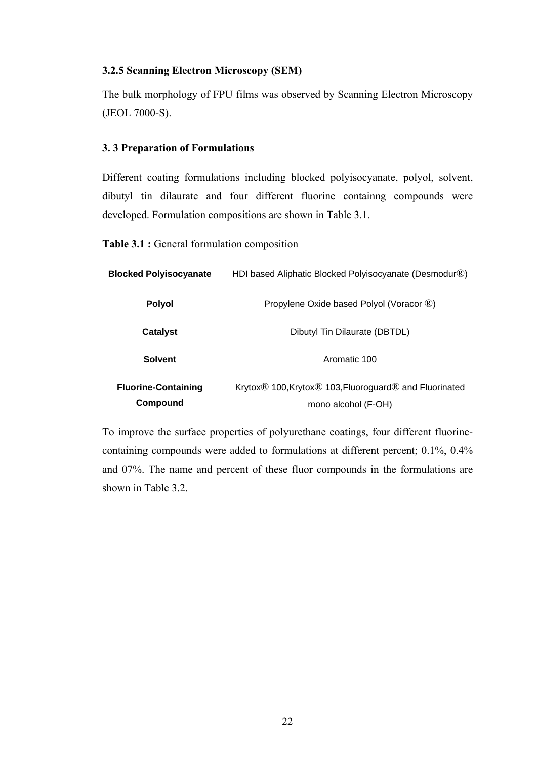## **3.2.5 Scanning Electron Microscopy (SEM)**

The bulk morphology of FPU films was observed by Scanning Electron Microscopy (JEOL 7000-S).

## **3. 3 Preparation of Formulations**

Different coating formulations including blocked polyisocyanate, polyol, solvent, dibutyl tin dilaurate and four different fluorine containng compounds were developed. Formulation compositions are shown in Table 3.1.

**Table 3.1 :** General formulation composition

| <b>Blocked Polyisocyanate</b> | HDI based Aliphatic Blocked Polyisocyanate (Desmodur®)                                     |  |  |
|-------------------------------|--------------------------------------------------------------------------------------------|--|--|
| <b>Polyol</b>                 | Propylene Oxide based Polyol (Voracor ®)                                                   |  |  |
| <b>Catalyst</b>               | Dibutyl Tin Dilaurate (DBTDL)                                                              |  |  |
| <b>Solvent</b>                | Aromatic 100                                                                               |  |  |
| <b>Fluorine-Containing</b>    | Krytox <sup>®</sup> 100, Krytox <sup>®</sup> 103, Fluoroguard <sup>®</sup> and Fluorinated |  |  |
| Compound                      | mono alcohol (F-OH)                                                                        |  |  |

To improve the surface properties of polyurethane coatings, four different fluorinecontaining compounds were added to formulations at different percent; 0.1%, 0.4% and 07%. The name and percent of these fluor compounds in the formulations are shown in Table 3.2.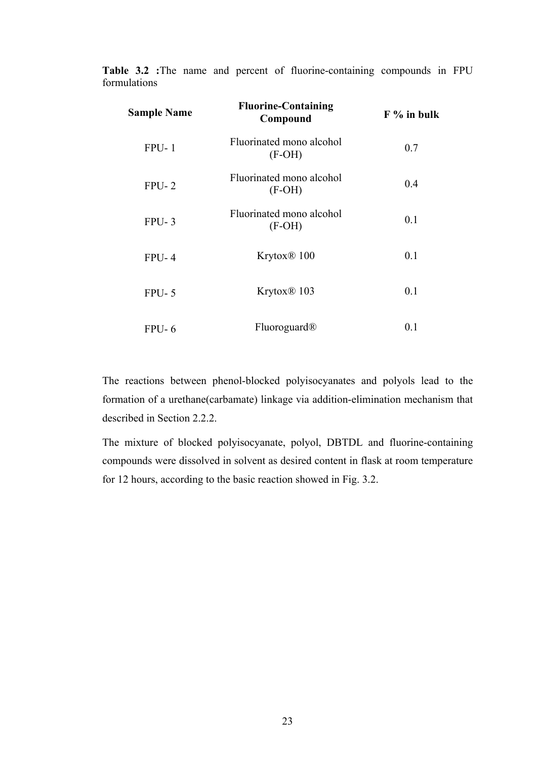| <b>Sample Name</b> | <b>Fluorine-Containing</b><br>Compound | $F%$ in bulk |  |
|--------------------|----------------------------------------|--------------|--|
| $FPU-1$            | Fluorinated mono alcohol<br>$(F-OH)$   | 0.7          |  |
| $FPU-2$            | Fluorinated mono alcohol<br>$(F-OH)$   | 0.4          |  |
| $FPU-3$            | Fluorinated mono alcohol<br>$(F-OH)$   | 0.1          |  |
| $FPU-4$            | Krytox <sup>®</sup> 100                | 0.1          |  |
| $FPU-5$            | Krytox <sup>®</sup> 103                | 0.1          |  |
| $FPU-6$            | Fluoroguard <sup>®</sup>               | 0.1          |  |

**Table 3.2 :**The name and percent of fluorine-containing compounds in FPU formulations

The reactions between phenol-blocked polyisocyanates and polyols lead to the formation of a urethane(carbamate) linkage via addition-elimination mechanism that described in Section 2.2.2.

The mixture of blocked polyisocyanate, polyol, DBTDL and fluorine-containing compounds were dissolved in solvent as desired content in flask at room temperature for 12 hours, according to the basic reaction showed in Fig. 3.2.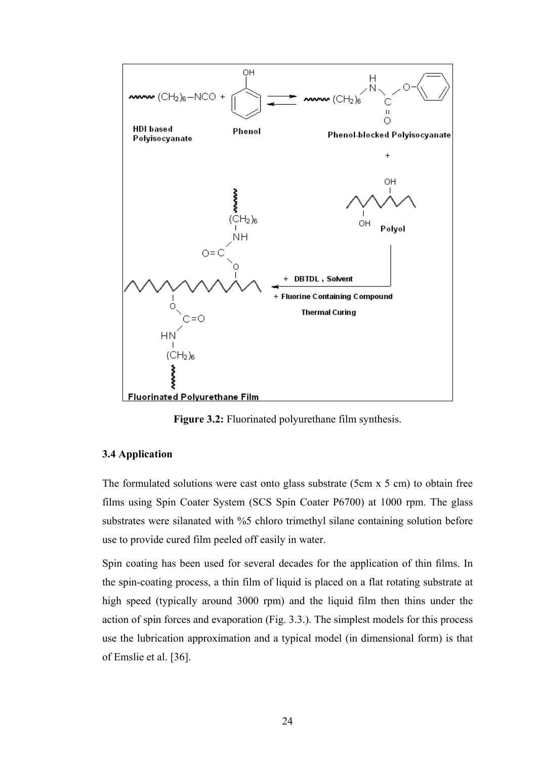

**Figure 3.2:** Fluorinated polyurethane film synthesis.

## **3.4 Application**

The formulated solutions were cast onto glass substrate (5cm x 5 cm) to obtain free films using Spin Coater System (SCS Spin Coater P6700) at 1000 rpm. The glass substrates were silanated with %5 chloro trimethyl silane containing solution before use to provide cured film peeled off easily in water.

Spin coating has been used for several decades for the application of thin films. In the spin-coating process, a thin film of liquid is placed on a flat rotating substrate at high speed (typically around 3000 rpm) and the liquid film then thins under the action of spin forces and evaporation (Fig. 3.3.). The simplest models for this process use the lubrication approximation and a typical model (in dimensional form) is that of Emslie et al. [36].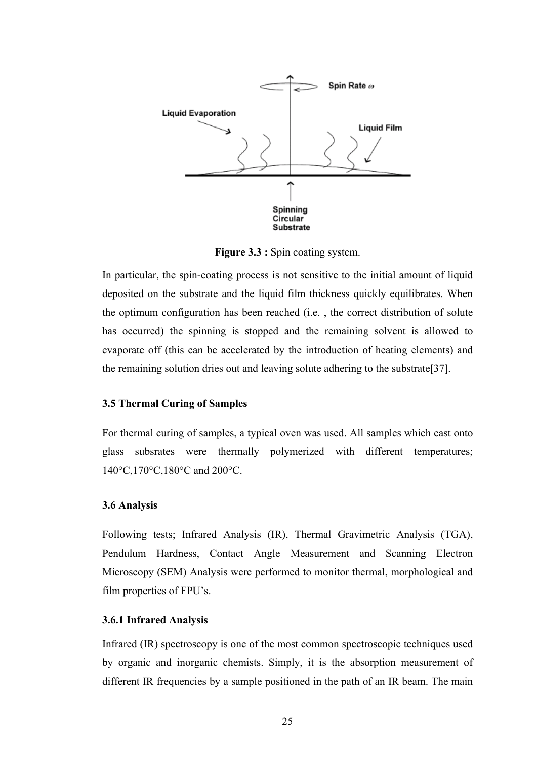

**Figure 3.3 :** Spin coating system.

In particular, the spin-coating process is not sensitive to the initial amount of liquid deposited on the substrate and the liquid film thickness quickly equilibrates. When the optimum configuration has been reached (i.e. , the correct distribution of solute has occurred) the spinning is stopped and the remaining solvent is allowed to evaporate off (this can be accelerated by the introduction of heating elements) and the remaining solution dries out and leaving solute adhering to the substrate[37].

#### **3.5 Thermal Curing of Samples**

For thermal curing of samples, a typical oven was used. All samples which cast onto glass subsrates were thermally polymerized with different temperatures; 140°C,170°C,180°C and 200°C.

#### **3.6 Analysis**

Following tests; Infrared Analysis (IR), Thermal Gravimetric Analysis (TGA), Pendulum Hardness, Contact Angle Measurement and Scanning Electron Microscopy (SEM) Analysis were performed to monitor thermal, morphological and film properties of FPU's.

#### **3.6.1 Infrared Analysis**

Infrared (IR) spectroscopy is one of the most common spectroscopic techniques used by organic and inorganic chemists. Simply, it is the absorption measurement of different IR frequencies by a sample positioned in the path of an IR beam. The main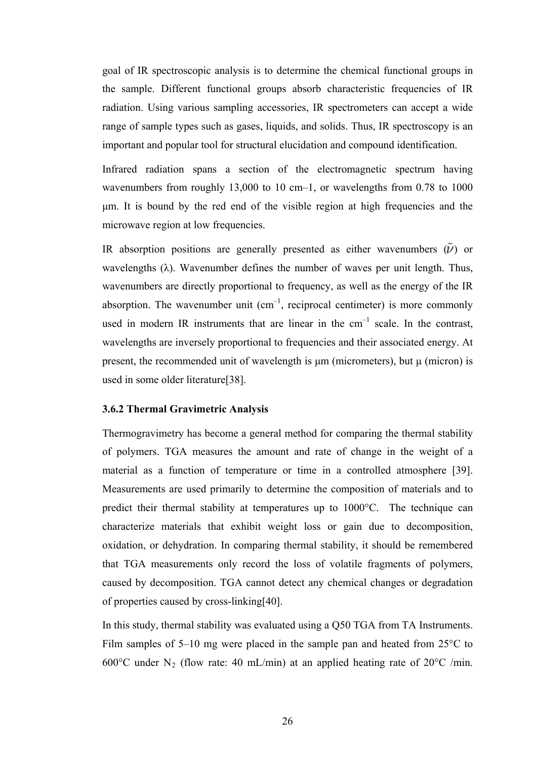goal of IR spectroscopic analysis is to determine the chemical functional groups in the sample. Different functional groups absorb characteristic frequencies of IR radiation. Using various sampling accessories, IR spectrometers can accept a wide range of sample types such as gases, liquids, and solids. Thus, IR spectroscopy is an important and popular tool for structural elucidation and compound identification.

Infrared radiation spans a section of the electromagnetic spectrum having wavenumbers from roughly 13,000 to 10 cm–1, or wavelengths from 0.78 to 1000 μm. It is bound by the red end of the visible region at high frequencies and the microwave region at low frequencies.

IR absorption positions are generally presented as either wavenumbers  $(\tilde{\nu})$  or wavelengths  $(\lambda)$ . Wavenumber defines the number of waves per unit length. Thus, wavenumbers are directly proportional to frequency, as well as the energy of the IR absorption. The wavenumber unit  $(cm^{-1})$ , reciprocal centimeter) is more commonly used in modern IR instruments that are linear in the  $cm^{-1}$  scale. In the contrast, wavelengths are inversely proportional to frequencies and their associated energy. At present, the recommended unit of wavelength is  $\mu$  (micrometers), but  $\mu$  (micron) is used in some older literature[38].

#### **3.6.2 Thermal Gravimetric Analysis**

Thermogravimetry has become a general method for comparing the thermal stability of polymers. TGA measures the amount and rate of change in the weight of a material as a function of temperature or time in a controlled atmosphere [39]. Measurements are used primarily to determine the composition of materials and to predict their thermal stability at temperatures up to 1000°C. The technique can characterize materials that exhibit weight loss or gain due to decomposition, oxidation, or dehydration. In comparing thermal stability, it should be remembered that TGA measurements only record the loss of volatile fragments of polymers, caused by decomposition. TGA cannot detect any chemical changes or degradation of properties caused by cross-linking[40].

In this study, thermal stability was evaluated using a Q50 TGA from TA Instruments. Film samples of 5–10 mg were placed in the sample pan and heated from 25<sup>o</sup>C to 600 $^{\circ}$ C under N<sub>2</sub> (flow rate: 40 mL/min) at an applied heating rate of 20 $^{\circ}$ C /min.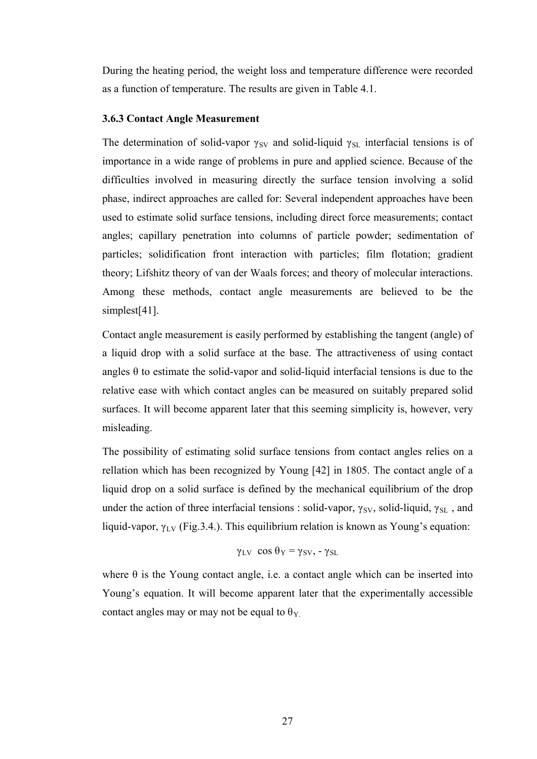During the heating period, the weight loss and temperature difference were recorded as a function of temperature. The results are given in Table 4.1.

## **3.6.3 Contact Angle Measurement**

The determination of solid-vapor  $\gamma_{SV}$  and solid-liquid  $\gamma_{SL}$  interfacial tensions is of importance in a wide range of problems in pure and applied science. Because of the difficulties involved in measuring directly the surface tension involving a solid phase, indirect approaches are called for: Several independent approaches have been used to estimate solid surface tensions, including direct force measurements; contact angles; capillary penetration into columns of particle powder; sedimentation of particles; solidification front interaction with particles; film flotation; gradient theory; Lifshitz theory of van der Waals forces; and theory of molecular interactions. Among these methods, contact angle measurements are believed to be the simplest[41].

Contact angle measurement is easily performed by establishing the tangent (angle) of a liquid drop with a solid surface at the base. The attractiveness of using contact angles  $\theta$  to estimate the solid-vapor and solid-liquid interfacial tensions is due to the relative ease with which contact angles can be measured on suitably prepared solid surfaces. It will become apparent later that this seeming simplicity is, however, very misleading.

The possibility of estimating solid surface tensions from contact angles relies on a rellation which has been recognized by Young [42] in 1805. The contact angle of a liquid drop on a solid surface is defined by the mechanical equilibrium of the drop under the action of three interfacial tensions : solid-vapor,  $\gamma_{SV}$ , solid-liquid,  $\gamma_{SL}$ , and liquid-vapor,  $\gamma_{LV}$  (Fig.3.4.). This equilibrium relation is known as Young's equation:

$$
\gamma_{LV}~\cos\theta_Y\equiv\gamma_{SV},\text{-}\gamma_{SL}
$$

where  $\theta$  is the Young contact angle, i.e. a contact angle which can be inserted into Young's equation. It will become apparent later that the experimentally accessible contact angles may or may not be equal to  $\theta_{Y}$ .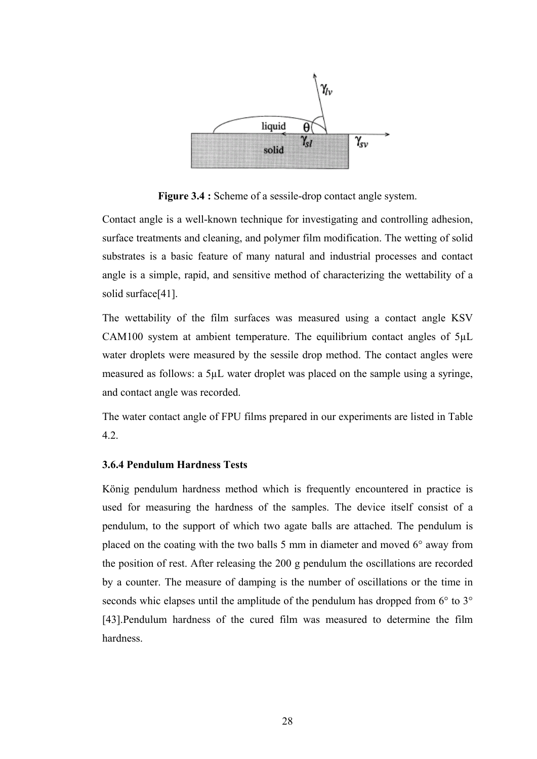

**Figure 3.4 :** Scheme of a sessile-drop contact angle system.

Contact angle is a well-known technique for investigating and controlling adhesion, surface treatments and cleaning, and polymer film modification. The wetting of solid substrates is a basic feature of many natural and industrial processes and contact angle is a simple, rapid, and sensitive method of characterizing the wettability of a solid surface[41].

The wettability of the film surfaces was measured using a contact angle KSV CAM100 system at ambient temperature. The equilibrium contact angles of 5µL water droplets were measured by the sessile drop method. The contact angles were measured as follows: a 5µL water droplet was placed on the sample using a syringe, and contact angle was recorded.

The water contact angle of FPU films prepared in our experiments are listed in Table 4.2.

### **3.6.4 Pendulum Hardness Tests**

König pendulum hardness method which is frequently encountered in practice is used for measuring the hardness of the samples. The device itself consist of a pendulum, to the support of which two agate balls are attached. The pendulum is placed on the coating with the two balls 5 mm in diameter and moved 6° away from the position of rest. After releasing the 200 g pendulum the oscillations are recorded by a counter. The measure of damping is the number of oscillations or the time in seconds whic elapses until the amplitude of the pendulum has dropped from 6° to 3° [43].Pendulum hardness of the cured film was measured to determine the film hardness.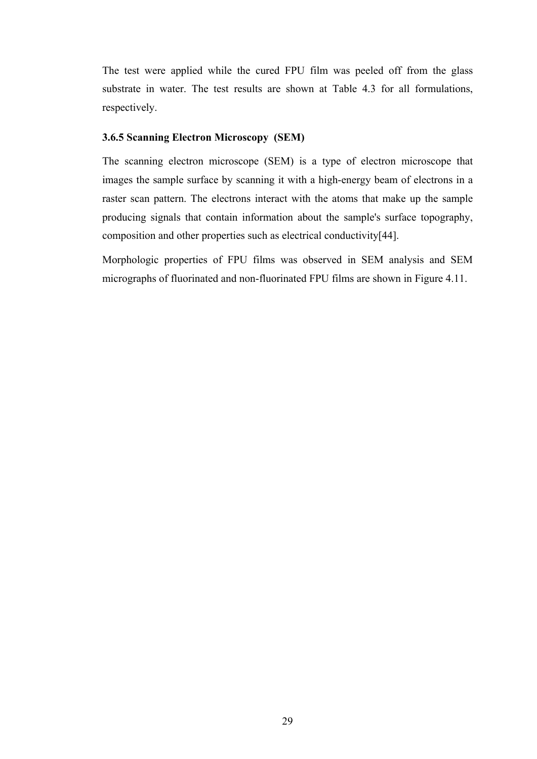The test were applied while the cured FPU film was peeled off from the glass substrate in water. The test results are shown at Table 4.3 for all formulations, respectively.

### **3.6.5 Scanning Electron Microscopy (SEM)**

The scanning electron microscope (SEM) is a type of [electron microscope](http://en.wikipedia.org/wiki/Electron_microscope) that images the sample surface by scanning it with a high-energy beam of [electrons](http://en.wikipedia.org/wiki/Electron) in a [raster scan](http://en.wikipedia.org/wiki/Raster_scan) pattern. The electrons interact with the atoms that make up the sample producing signals that contain information about the sample's surface [topography](http://en.wikipedia.org/wiki/Topography), composition and other properties such as [electrical conductivity\[](http://en.wikipedia.org/wiki/Electrical_conductivity)44].

Morphologic properties of FPU films was observed in SEM analysis and SEM micrographs of fluorinated and non-fluorinated FPU films are shown in Figure 4.11.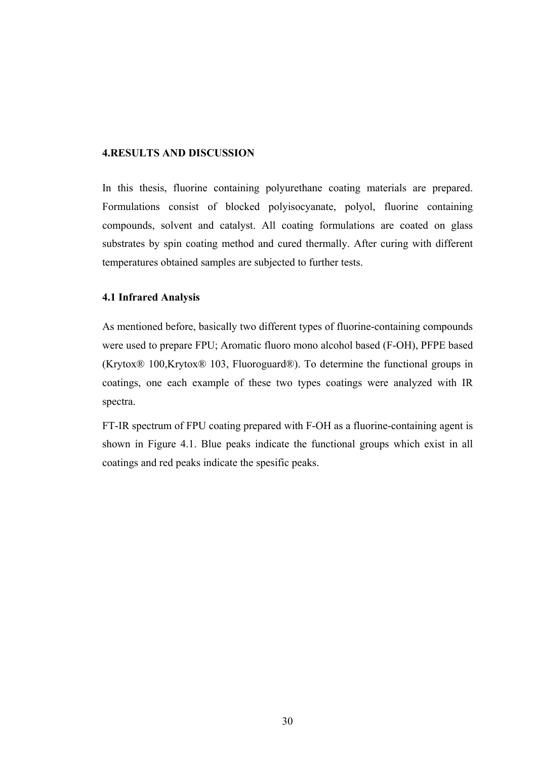## **4.RESULTS AND DISCUSSION**

In this thesis, fluorine containing polyurethane coating materials are prepared. Formulations consist of blocked polyisocyanate, polyol, fluorine containing compounds, solvent and catalyst. All coating formulations are coated on glass substrates by spin coating method and cured thermally. After curing with different temperatures obtained samples are subjected to further tests.

#### **4.1 Infrared Analysis**

As mentioned before, basically two different types of fluorine-containing compounds were used to prepare FPU; Aromatic fluoro mono alcohol based (F-OH), PFPE based (Krytox® 100,Krytox® 103, Fluoroguard®). To determine the functional groups in coatings, one each example of these two types coatings were analyzed with IR spectra.

FT-IR spectrum of FPU coating prepared with F-OH as a fluorine-containing agent is shown in Figure 4.1. Blue peaks indicate the functional groups which exist in all coatings and red peaks indicate the spesific peaks.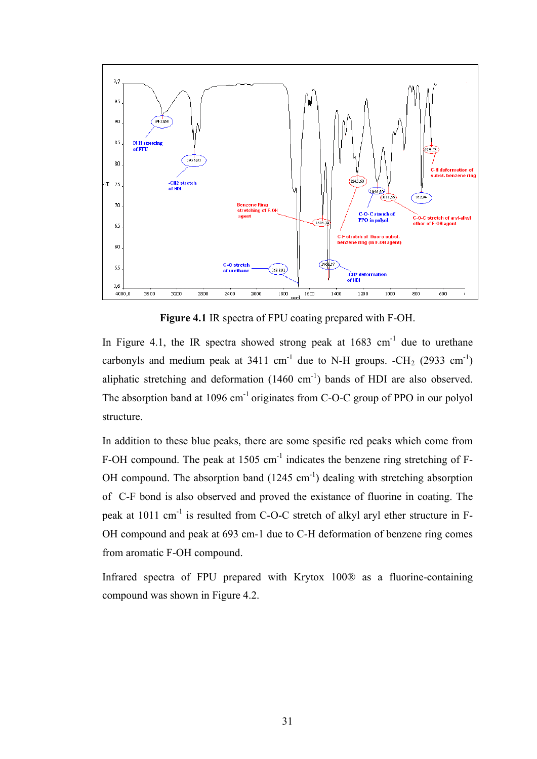

**Figure 4.1** IR spectra of FPU coating prepared with F-OH.

In Figure 4.1, the IR spectra showed strong peak at  $1683 \text{ cm}^{-1}$  due to urethane carbonyls and medium peak at  $3411 \text{ cm}^{-1}$  due to N-H groups.  $-CH_2$  (2933 cm<sup>-1</sup>) aliphatic stretching and deformation  $(1460 \text{ cm}^{-1})$  bands of HDI are also observed. The absorption band at  $1096 \text{ cm}^{-1}$  originates from C-O-C group of PPO in our polyol structure.

In addition to these blue peaks, there are some spesific red peaks which come from F-OH compound. The peak at  $1505 \text{ cm}^{-1}$  indicates the benzene ring stretching of F-OH compound. The absorption band  $(1245 \text{ cm}^{-1})$  dealing with stretching absorption of C-F bond is also observed and proved the existance of fluorine in coating. The peak at 1011 cm<sup>-1</sup> is resulted from C-O-C stretch of alkyl aryl ether structure in F-OH compound and peak at 693 cm-1 due to C-H deformation of benzene ring comes from aromatic F-OH compound.

Infrared spectra of FPU prepared with Krytox 100® as a fluorine-containing compound was shown in Figure 4.2.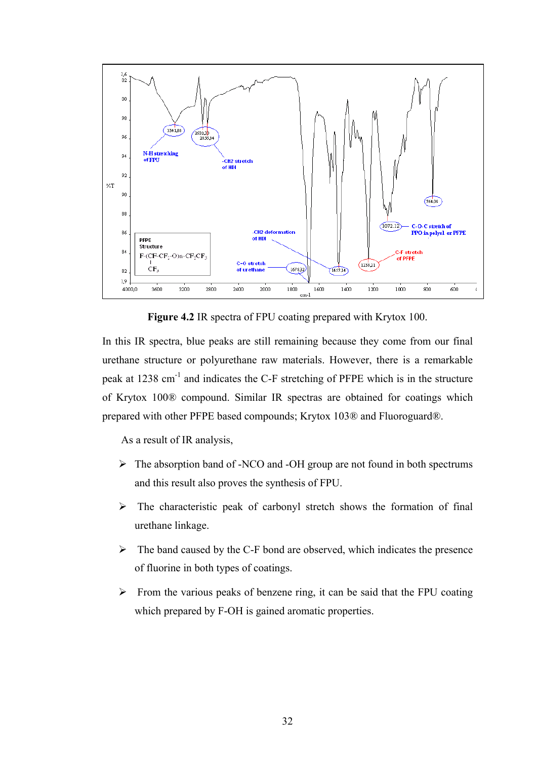

**Figure 4.2** IR spectra of FPU coating prepared with Krytox 100.

In this IR spectra, blue peaks are still remaining because they come from our final urethane structure or polyurethane raw materials. However, there is a remarkable peak at 1238 cm<sup>-1</sup> and indicates the C-F stretching of PFPE which is in the structure of Krytox 100® compound. Similar IR spectras are obtained for coatings which prepared with other PFPE based compounds; Krytox 103® and Fluoroguard®.

As a result of IR analysis,

- $\triangleright$  The absorption band of -NCO and -OH group are not found in both spectrums and this result also proves the synthesis of FPU.
- $\triangleright$  The characteristic peak of carbonyl stretch shows the formation of final urethane linkage.
- $\triangleright$  The band caused by the C-F bond are observed, which indicates the presence of fluorine in both types of coatings.
- $\triangleright$  From the various peaks of benzene ring, it can be said that the FPU coating which prepared by F-OH is gained aromatic properties.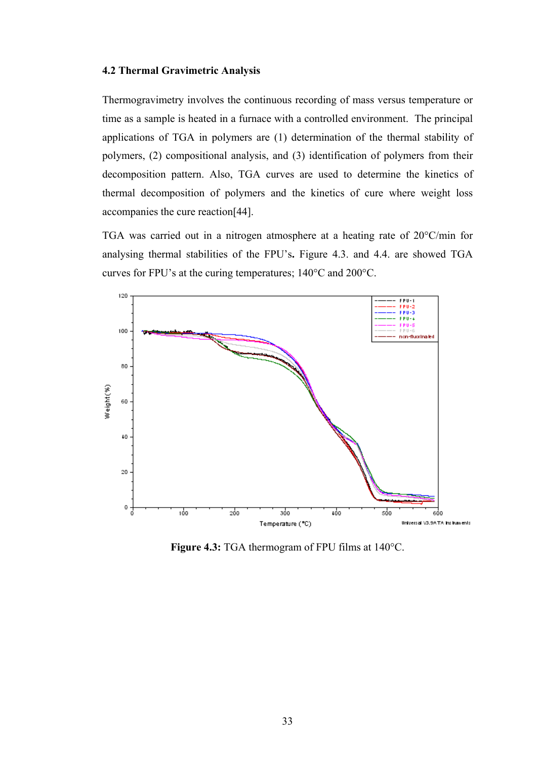#### **4.2 Thermal Gravimetric Analysis**

Thermogravimetry involves the continuous recording of mass versus temperature or time as a sample is heated in a furnace with a controlled environment. The principal applications of TGA in polymers are (1) determination of the thermal stability of polymers, (2) compositional analysis, and (3) identification of polymers from their decomposition pattern. Also, TGA curves are used to determine the kinetics of thermal decomposition of polymers and the kinetics of cure where weight loss accompanies the cure reaction[44].

TGA was carried out in a nitrogen atmosphere at a heating rate of 20°C/min for analysing thermal stabilities of the FPU's**.** Figure 4.3. and 4.4. are showed TGA curves for FPU's at the curing temperatures; 140°C and 200°C.



**Figure 4.3:** TGA thermogram of FPU films at 140°C.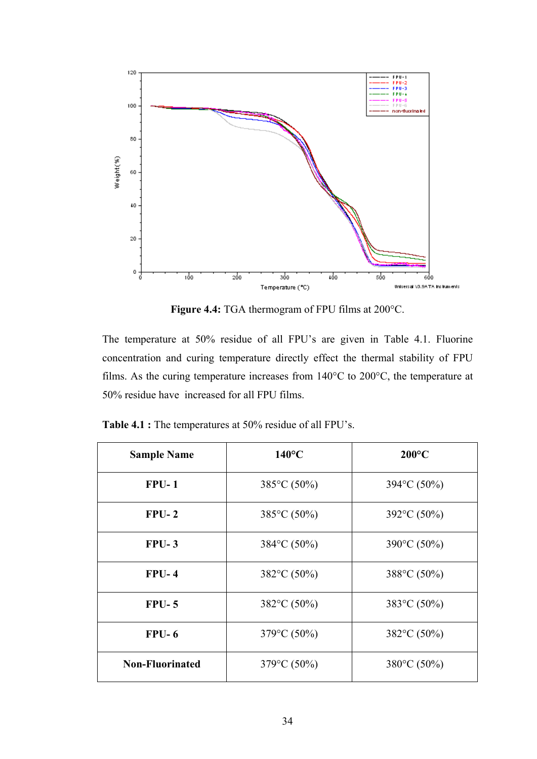

**Figure 4.4:** TGA thermogram of FPU films at 200°C.

The temperature at 50% residue of all FPU's are given in Table 4.1. Fluorine concentration and curing temperature directly effect the thermal stability of FPU films. As the curing temperature increases from 140°C to 200°C, the temperature at 50% residue have increased for all FPU films.

| <b>Sample Name</b>     | $140^{\circ}$ C          | $200^{\circ}$ C          |
|------------------------|--------------------------|--------------------------|
| $FPU-1$                | 385 $\degree$ C (50%)    | 394 °C (50%)             |
| $FPU-2$                | $385^{\circ}$ C $(50\%)$ | $392^{\circ}$ C $(50\%)$ |
| $FPU-3$                | $384^{\circ}$ C (50%)    | 390°C (50%)              |
| $FPU-4$                | $382^{\circ}$ C (50%)    | 388°C (50%)              |
| $FPU-5$                | $382^{\circ}$ C (50%)    | 383°C (50%)              |
| $FPU-6$                | 379 $\degree$ C (50%)    | 382 $\degree$ C (50%)    |
| <b>Non-Fluorinated</b> | $379^{\circ}$ C $(50\%)$ | 380 $\degree$ C (50%)    |

**Table 4.1 :** The temperatures at 50% residue of all FPU's.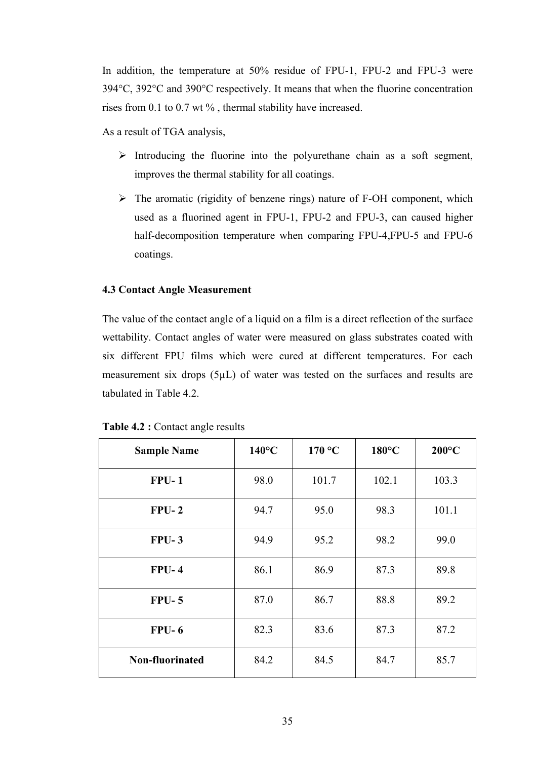In addition, the temperature at 50% residue of FPU-1, FPU-2 and FPU-3 were 394°C, 392°C and 390°C respectively. It means that when the fluorine concentration rises from 0.1 to 0.7 wt % , thermal stability have increased.

As a result of TGA analysis,

- $\triangleright$  Introducing the fluorine into the polyurethane chain as a soft segment, improves the thermal stability for all coatings.
- $\triangleright$  The aromatic (rigidity of benzene rings) nature of F-OH component, which used as a fluorined agent in FPU-1, FPU-2 and FPU-3, can caused higher half-decomposition temperature when comparing FPU-4,FPU-5 and FPU-6 coatings.

## **4.3 Contact Angle Measurement**

The value of the contact angle of a liquid on a film is a direct reflection of the surface wettability. Contact angles of water were measured on glass substrates coated with six different FPU films which were cured at different temperatures. For each measurement six drops (5µL) of water was tested on the surfaces and results are tabulated in Table 4.2.

| <b>Sample Name</b> | $140^{\circ}$ C | 170 °C | $180^{\circ}$ C | $200^{\circ}$ C |
|--------------------|-----------------|--------|-----------------|-----------------|
| $FPU-1$            | 98.0            | 101.7  | 102.1           | 103.3           |
| $FPU-2$            | 94.7            | 95.0   | 98.3            | 101.1           |
| $FPU-3$            | 94.9            | 95.2   | 98.2            | 99.0            |
| $FPU-4$            | 86.1            | 86.9   | 87.3            | 89.8            |
| $FPU-5$            | 87.0            | 86.7   | 88.8            | 89.2            |
| $FPU-6$            | 82.3            | 83.6   | 87.3            | 87.2            |
| Non-fluorinated    | 84.2            | 84.5   | 84.7            | 85.7            |

**Table 4.2 : Contact angle results**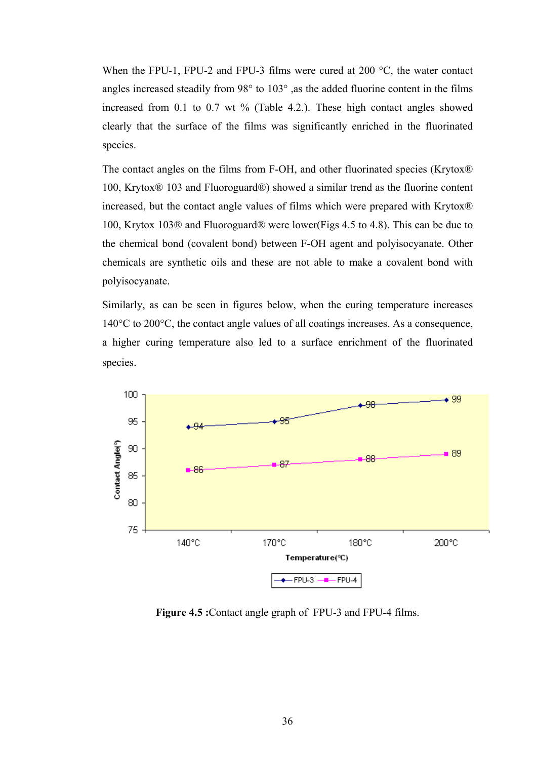When the FPU-1, FPU-2 and FPU-3 films were cured at 200 °C, the water contact angles increased steadily from 98° to 103° ,as the added fluorine content in the films increased from 0.1 to 0.7 wt % (Table 4.2.). These high contact angles showed clearly that the surface of the films was significantly enriched in the fluorinated species.

The contact angles on the films from F-OH, and other fluorinated species (Krytox® 100, Krytox® 103 and Fluoroguard®) showed a similar trend as the fluorine content increased, but the contact angle values of films which were prepared with Krytox® 100, Krytox 103® and Fluoroguard® were lower(Figs 4.5 to 4.8). This can be due to the chemical bond (covalent bond) between F-OH agent and polyisocyanate. Other chemicals are synthetic oils and these are not able to make a covalent bond with polyisocyanate.

Similarly, as can be seen in figures below, when the curing temperature increases 140°C to 200°C, the contact angle values of all coatings increases. As a consequence, a higher curing temperature also led to a surface enrichment of the fluorinated species.



**Figure 4.5 :**Contact angle graph of FPU-3 and FPU-4 films.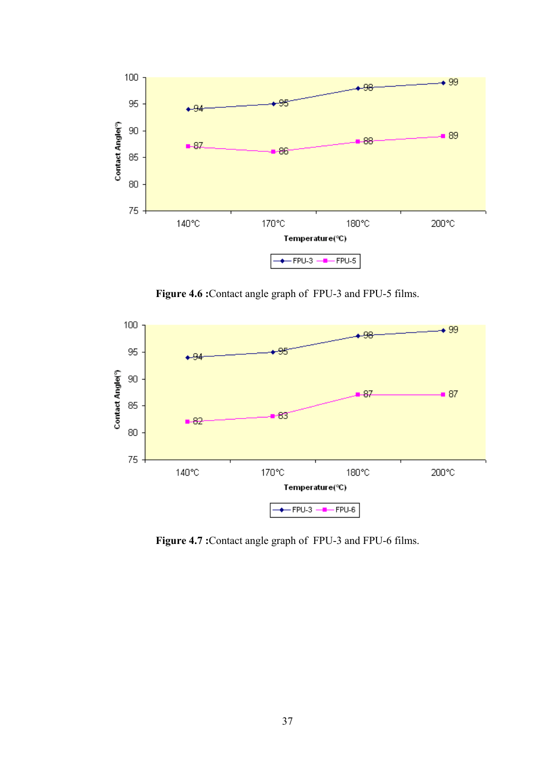

**Figure 4.6 :**Contact angle graph of FPU-3 and FPU-5 films.



**Figure 4.7 :**Contact angle graph of FPU-3 and FPU-6 films.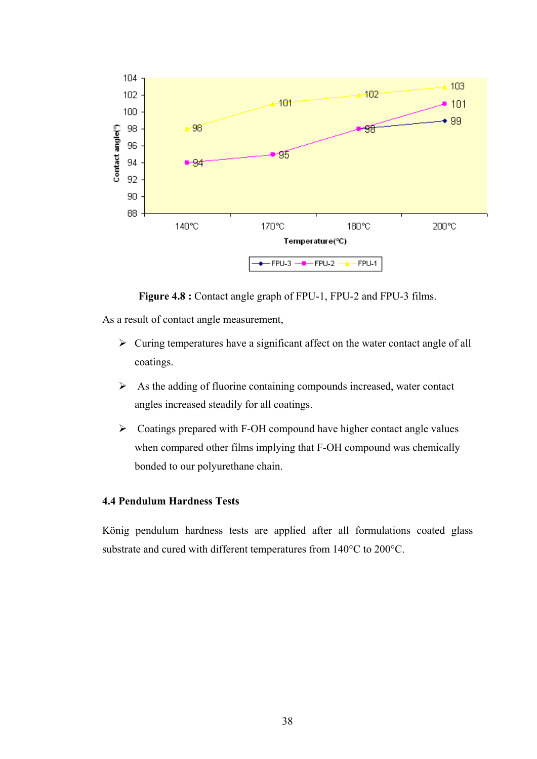

**Figure 4.8 :** Contact angle graph of FPU-1, FPU-2 and FPU-3 films.

As a result of contact angle measurement,

- $\triangleright$  Curing temperatures have a significant affect on the water contact angle of all coatings.
- $\triangleright$  As the adding of fluorine containing compounds increased, water contact angles increased steadily for all coatings.
- $\triangleright$  Coatings prepared with F-OH compound have higher contact angle values when compared other films implying that F-OH compound was chemically bonded to our polyurethane chain.

## **4.4 Pendulum Hardness Tests**

König pendulum hardness tests are applied after all formulations coated glass substrate and cured with different temperatures from 140°C to 200°C.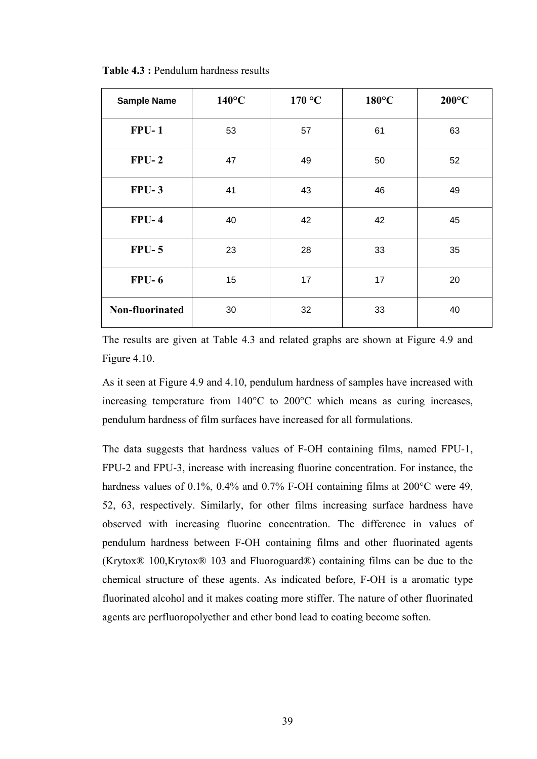| <b>Sample Name</b> | $140^{\circ}$ C | 170 °C | $180^{\circ}$ C | $200^{\circ}$ C |
|--------------------|-----------------|--------|-----------------|-----------------|
| $FPU-1$            | 53              | 57     | 61              | 63              |
| $FPU-2$            | 47              | 49     | 50              | 52              |
| $FPU-3$            | 41              | 43     | 46              | 49              |
| $FPU-4$            | 40              | 42     | 42              | 45              |
| $FPU-5$            | 23              | 28     | 33              | 35              |
| $FPU-6$            | 15              | 17     | 17              | 20              |
| Non-fluorinated    | 30              | 32     | 33              | 40              |

**Table 4.3 :** Pendulum hardness results

The results are given at Table 4.3 and related graphs are shown at Figure 4.9 and Figure 4.10.

As it seen at Figure 4.9 and 4.10, pendulum hardness of samples have increased with increasing temperature from 140°C to 200°C which means as curing increases, pendulum hardness of film surfaces have increased for all formulations.

The data suggests that hardness values of F-OH containing films, named FPU-1, FPU-2 and FPU-3, increase with increasing fluorine concentration. For instance, the hardness values of 0.1%, 0.4% and 0.7% F-OH containing films at 200 °C were 49, 52, 63, respectively. Similarly, for other films increasing surface hardness have observed with increasing fluorine concentration. The difference in values of pendulum hardness between F-OH containing films and other fluorinated agents (Krytox® 100,Krytox® 103 and Fluoroguard®) containing films can be due to the chemical structure of these agents. As indicated before, F-OH is a aromatic type fluorinated alcohol and it makes coating more stiffer. The nature of other fluorinated agents are perfluoropolyether and ether bond lead to coating become soften.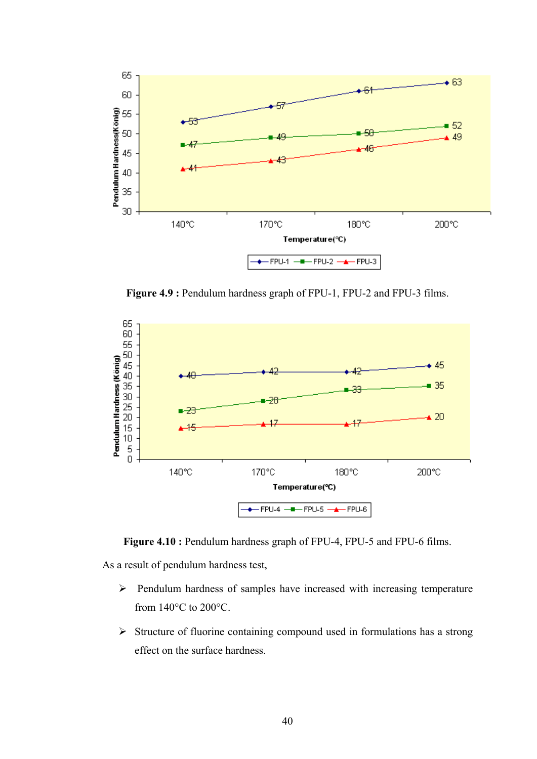

**Figure 4.9 :** Pendulum hardness graph of FPU-1, FPU-2 and FPU-3 films.



**Figure 4.10 :** Pendulum hardness graph of FPU-4, FPU-5 and FPU-6 films.

As a result of pendulum hardness test,

- $\triangleright$  Pendulum hardness of samples have increased with increasing temperature from 140°C to 200°C.
- $\triangleright$  Structure of fluorine containing compound used in formulations has a strong effect on the surface hardness.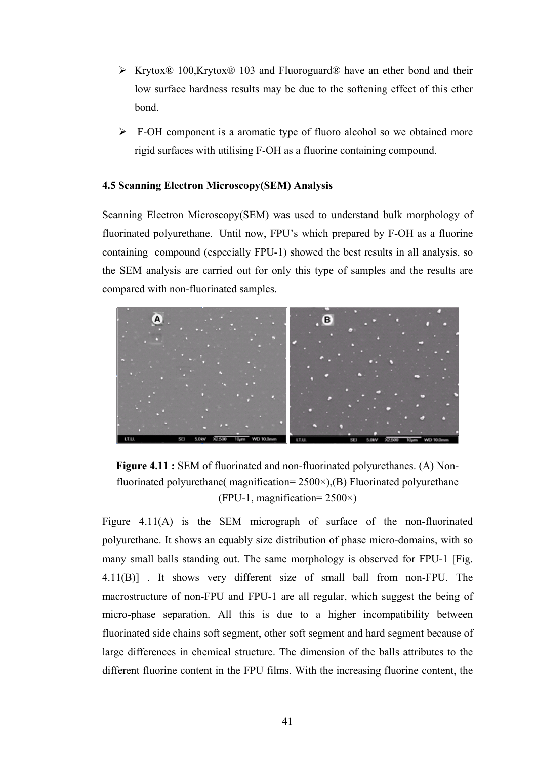- $\triangleright$  Krytox® 100, Krytox® 103 and Fluoroguard® have an ether bond and their low surface hardness results may be due to the softening effect of this ether bond.
- $\triangleright$  F-OH component is a aromatic type of fluoro alcohol so we obtained more rigid surfaces with utilising F-OH as a fluorine containing compound.

## **4.5 Scanning Electron Microscopy(SEM) Analysis**

Scanning Electron Microscopy(SEM) was used to understand bulk morphology of fluorinated polyurethane. Until now, FPU's which prepared by F-OH as a fluorine containing compound (especially FPU-1) showed the best results in all analysis, so the SEM analysis are carried out for only this type of samples and the results are compared with non-fluorinated samples.



**Figure 4.11 :** SEM of fluorinated and non-fluorinated polyurethanes. (A) Nonfluorinated polyurethane( magnification=  $2500\times$ ),(B) Fluorinated polyurethane (FPU-1, magnification= 2500×)

Figure 4.11(A) is the SEM micrograph of surface of the non-fluorinated polyurethane. It shows an equably size distribution of phase micro-domains, with so many small balls standing out. The same morphology is observed for FPU-1 [Fig. 4.11(B)] . It shows very different size of small ball from non-FPU. The macrostructure of non-FPU and FPU-1 are all regular, which suggest the being of micro-phase separation. All this is due to a higher incompatibility between fluorinated side chains soft segment, other soft segment and hard segment because of large differences in chemical structure. The dimension of the balls attributes to the different fluorine content in the FPU films. With the increasing fluorine content, the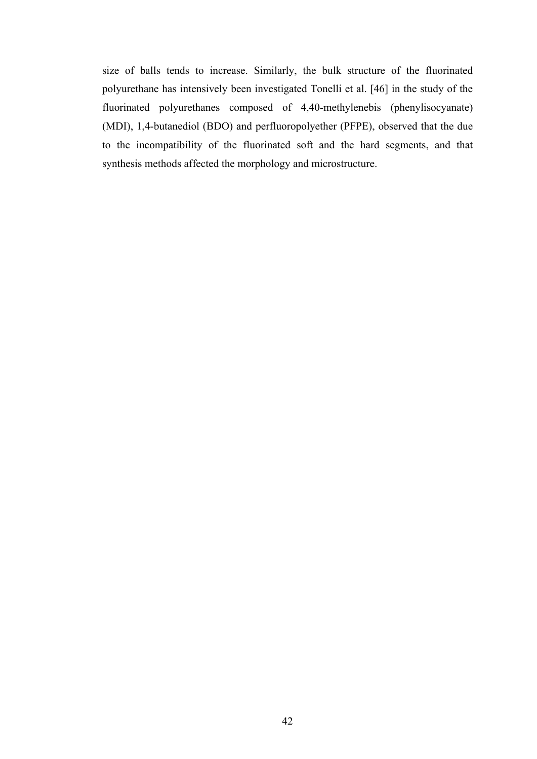size of balls tends to increase. Similarly, the bulk structure of the fluorinated polyurethane has intensively been investigated Tonelli et al. [46] in the study of the fluorinated polyurethanes composed of 4,40-methylenebis (phenylisocyanate) (MDI), 1,4-butanediol (BDO) and perfluoropolyether (PFPE), observed that the due to the incompatibility of the fluorinated soft and the hard segments, and that synthesis methods affected the morphology and microstructure.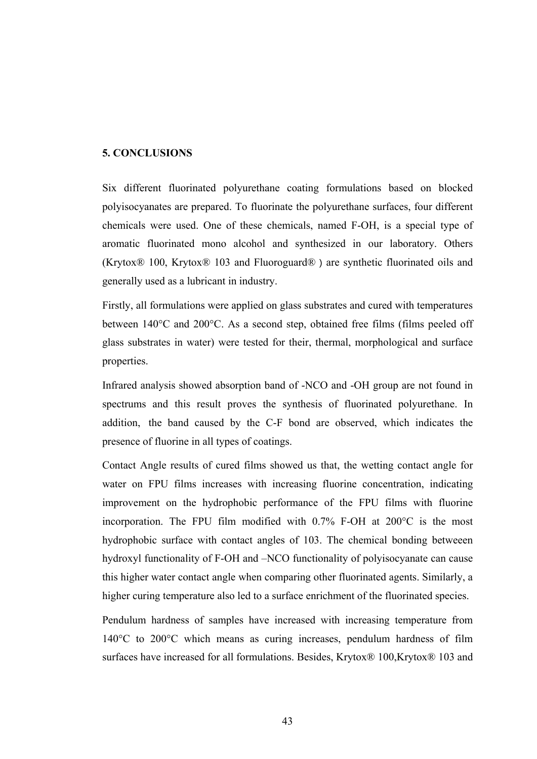### **5. CONCLUSIONS**

Six different fluorinated polyurethane coating formulations based on blocked polyisocyanates are prepared. To fluorinate the polyurethane surfaces, four different chemicals were used. One of these chemicals, named F-OH, is a special type of aromatic fluorinated mono alcohol and synthesized in our laboratory. Others (Krytox® 100, Krytox® 103 and Fluoroguard® ) are synthetic fluorinated oils and generally used as a lubricant in industry.

Firstly, all formulations were applied on glass substrates and cured with temperatures between 140°C and 200°C. As a second step, obtained free films (films peeled off glass substrates in water) were tested for their, thermal, morphological and surface properties.

Infrared analysis showed absorption band of -NCO and -OH group are not found in spectrums and this result proves the synthesis of fluorinated polyurethane. In addition, the band caused by the C-F bond are observed, which indicates the presence of fluorine in all types of coatings.

Contact Angle results of cured films showed us that, the wetting contact angle for water on FPU films increases with increasing fluorine concentration, indicating improvement on the hydrophobic performance of the FPU films with fluorine incorporation. The FPU film modified with 0.7% F-OH at 200°C is the most hydrophobic surface with contact angles of 103. The chemical bonding betweeen hydroxyl functionality of F-OH and –NCO functionality of polyisocyanate can cause this higher water contact angle when comparing other fluorinated agents. Similarly, a higher curing temperature also led to a surface enrichment of the fluorinated species.

Pendulum hardness of samples have increased with increasing temperature from 140°C to 200°C which means as curing increases, pendulum hardness of film surfaces have increased for all formulations. Besides, Krytox® 100, Krytox® 103 and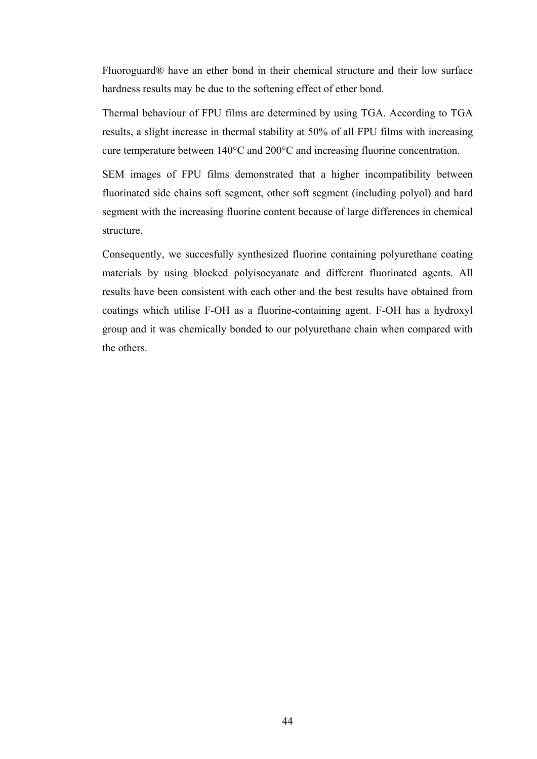Fluoroguard® have an ether bond in their chemical structure and their low surface hardness results may be due to the softening effect of ether bond.

Thermal behaviour of FPU films are determined by using TGA. According to TGA results, a slight increase in thermal stability at 50% of all FPU films with increasing cure temperature between 140°C and 200°C and increasing fluorine concentration.

SEM images of FPU films demonstrated that a higher incompatibility between fluorinated side chains soft segment, other soft segment (including polyol) and hard segment with the increasing fluorine content because of large differences in chemical structure.

Consequently, we succesfully synthesized fluorine containing polyurethane coating materials by using blocked polyisocyanate and different fluorinated agents. All results have been consistent with each other and the best results have obtained from coatings which utilise F-OH as a fluorine-containing agent. F-OH has a hydroxyl group and it was chemically bonded to our polyurethane chain when compared with the others.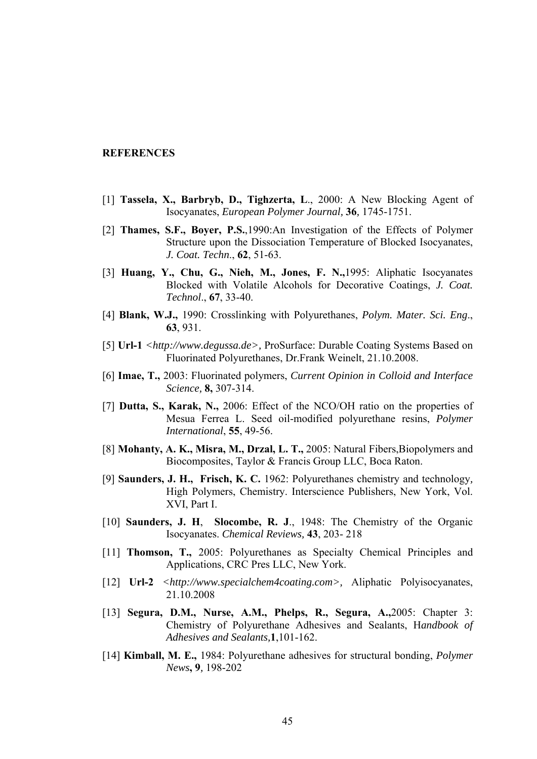#### **REFERENCES**

- [1] **Tassela, X., Barbryb, D., Tighzerta, L**., 2000: A New Blocking Agent of Isocyanates, *European Polymer Journal,* **36***,* 1745-1751.
- [2] **Thames, S.F., Boyer, P.S.**,1990:An Investigation of the Effects of Polymer Structure upon the Dissociation Temperature of Blocked Isocyanates, *J. Coat. Techn*., **62**, 51-63.
- [3] **Huang, Y., Chu, G., Nieh, M., Jones, F. N.,**1995: Aliphatic Isocyanates Blocked with Volatile Alcohols for Decorative Coatings, *J. Coat. Technol*., **67**, 33-40.
- [4] **Blank, W.J.,** 1990: Crosslinking with Polyurethanes, *Polym. Mater. Sci. Eng*., **63**, 931.
- [5] **Url-1** *<http://www.degussa.de>,* ProSurface: Durable Coating Systems Based on Fluorinated Polyurethanes, Dr.Frank Weinelt, 21.10.2008.
- [6] **Imae, T.,** 2003: Fluorinated polymers, *Current Opinion in Colloid and Interface Science,* **8,** 307-314.
- [7] **Dutta, S., Karak, N.,** 2006: Effect of the NCO/OH ratio on the properties of Mesua Ferrea L. Seed oil-modified polyurethane resins, *Polymer International*, **55**, 49-56.
- [8] **Mohanty, A. K., Misra, M., Drzal, L. T.,** 2005: Natural Fibers,Biopolymers and Biocomposites, Taylor & Francis Group LLC, Boca Raton.
- [9] **Saunders, J. H., Frisch, K. C.** 1962: Polyurethanes chemistry and technology*,*  High Polymers, Chemistry. Interscience Publishers, New York, Vol. XVI, Part I.
- [10] **Saunders, J. H**, **Slocombe, R. J**., 1948: The Chemistry of the Organic Isocyanates. *Chemical Reviews,* **43**, 203- 218
- [11] **Thomson, T.,** 2005: Polyurethanes as Specialty Chemical Principles and Applications, CRC Pres LLC, New York.
- [12] **Url-2** *<http://www.specialchem4coating.com>,* Aliphatic Polyisocyanates, 21.10.2008
- [13] **Segura, D.M., Nurse, A.M., Phelps, R., Segura, A.,**2005: [Chapter 3:](http://0-www.sciencedirect.com.divit.library.itu.edu.tr/science?_ob=ArticleURL&_udi=B8JC5-4P2S80S-4&_user=691171&_coverDate=12%2F31%2F2005&_alid=818157267&_rdoc=17&_fmt=high&_orig=search&_cdi=43577&_sort=d&_st=4&_docanchor=&_ct=52&_acct=C000038558&_version=1&_urlVersion=0&_userid=691171&md5=4ffbabb3114f95f9ce8703292b19fc72)  [Chemistry of Polyurethane Adhesives and Sealants,](http://0-www.sciencedirect.com.divit.library.itu.edu.tr/science?_ob=ArticleURL&_udi=B8JC5-4P2S80S-4&_user=691171&_coverDate=12%2F31%2F2005&_alid=818157267&_rdoc=17&_fmt=high&_orig=search&_cdi=43577&_sort=d&_st=4&_docanchor=&_ct=52&_acct=C000038558&_version=1&_urlVersion=0&_userid=691171&md5=4ffbabb3114f95f9ce8703292b19fc72) H*andbook of Adhesives and Sealants,***1**,101-162.
- [14] **Kimball, M. E.,** 1984: Polyurethane adhesives for structural bonding, *Polymer News***, 9***,* 198-202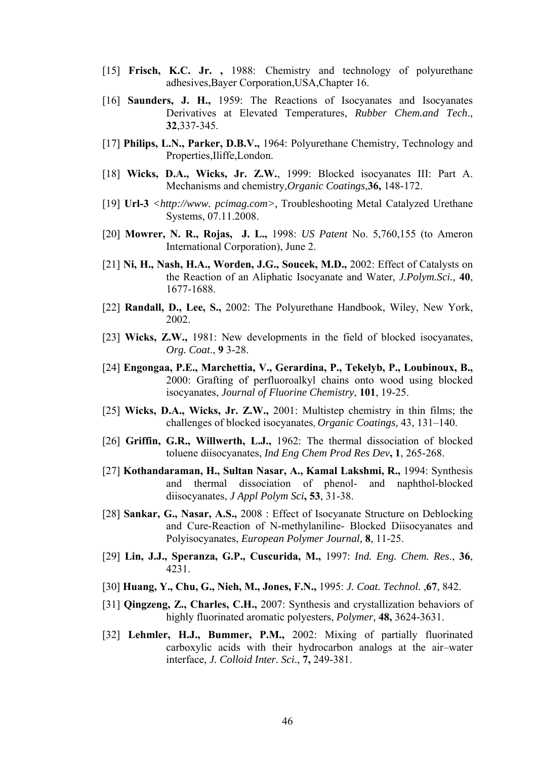- [15] **Frisch, K.C. Jr.**, 1988: Chemistry and technology of polyurethane adhesives,Bayer Corporation,USA,Chapter 16.
- [16] **Saunders, J. H.,** 1959: The Reactions of Isocyanates and Isocyanates Derivatives at Elevated Temperatures, *Rubber Chem.and Tech*., **32**,337-345.
- [17] **Philips, L.N., Parker, D.B.V.,** 1964: Polyurethane Chemistry, Technology and Properties,Iliffe,London.
- [18] **Wicks, D.A., Wicks, Jr. Z.W.**, 1999: Blocked isocyanates III: Part A. Mechanisms and chemistry*,Organic Coatings*,**36,** 148-172.
- [19] **Url-3** *<http://www. pcimag.com>,* Troubleshooting Metal Catalyzed Urethane Systems, 07.11.2008.
- [20] **Mowrer, N. R., Rojas, J. L.,** 1998: *US Patent* No. 5,760,155 (to Ameron International Corporation), June 2.
- [21] **Ni, H., Nash, H.A., Worden, J.G., Soucek, M.D.,** 2002: Effect of Catalysts on the Reaction of an Aliphatic Isocyanate and Water, *J.Polym.Sci.,* **40**, 1677-1688.
- [22] **Randall, D., Lee, S.,** 2002: The Polyurethane Handbook, Wiley, New York, 2002.
- [23] **Wicks, Z.W.,** 1981: New developments in the field of blocked isocyanates, *Org. Coat*., **9** 3-28.
- [24] **Engongaa, P.E., Marchettia, V., Gerardina, P., Tekelyb, P., Loubinoux, B.,** 2000: Grafting of perfluoroalkyl chains onto wood using blocked isocyanates, *Journal of Fluorine Chemistry*, **101**, 19-25.
- [25] **Wicks, D.A., Wicks, Jr. Z.W.,** 2001: Multistep chemistry in thin films; the challenges of blocked isocyanates, *Organic Coatings,* 43, 131–140.
- [26] **Griffin, G.R., Willwerth, L.J.,** 1962: The thermal dissociation of blocked toluene diisocyanates, *Ind Eng Chem Prod Res Dev***, 1**, 265-268.
- [27] **Kothandaraman, H., Sultan Nasar, A., Kamal Lakshmi, R.,** 1994: Synthesis and thermal dissociation of phenol- and naphthol-blocked diisocyanates, *J Appl Polym Sci***, 53**, 31-38.
- [28] **Sankar, G., Nasar, A.S.,** 2008 : Effect of Isocyanate Structure on Deblocking and Cure-Reaction of N-methylaniline- Blocked Diisocyanates and Polyisocyanates, *European Polymer Journal,* **8**, 11-25.
- [29] **Lin, J.J., Speranza, G.P., Cuscurida, M.,** 1997: *Ind. Eng. Chem. Res*., **36**, 4231.
- [30] **Huang, Y., Chu, G., Nieh, M., Jones, F.N.,** 1995: *J. Coat. Technol.* ,**67**, 842.
- [31] **Qingzeng, Z., Charles, C.H.,** 2007: Synthesis and crystallization behaviors of highly fluorinated aromatic polyesters, *Polymer,* **48,** 3624-3631.
- [32] **Lehmler, H.J., Bummer, P.M.,** 2002: Mixing of partially fluorinated carboxylic acids with their hydrocarbon analogs at the air–water interface, *J. Colloid Inter. Sci*., **7,** 249-381.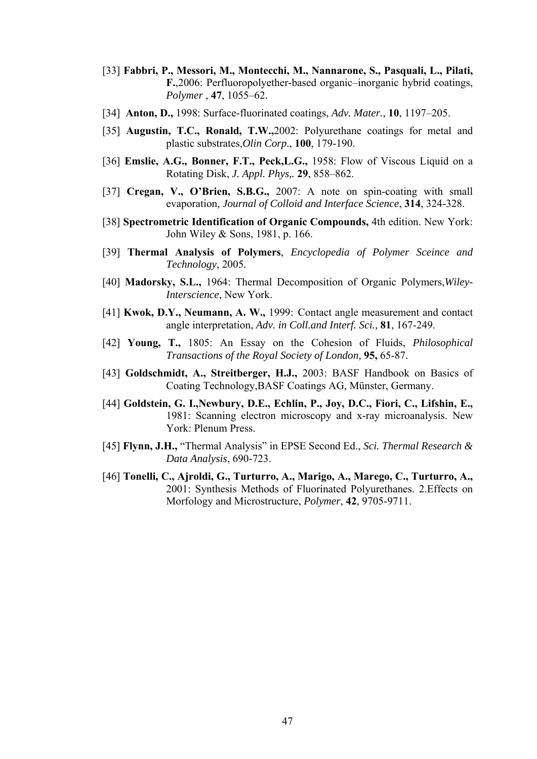- [33] **Fabbri, P., Messori, M., Montecchi, M., Nannarone, S., Pasquali, L., Pilati, F.**,2006: Perfluoropolyether-based organic–inorganic hybrid coatings, *Polymer* , **47**, 1055–62.
- [34] **Anton, D.,** 1998: Surface-fluorinated coatings, *Adv. Mater.,* **10**, 1197–205.
- [35] **Augustin, T.C., Ronald, T.W.,**2002: Polyurethane coatings for metal and plastic substrates,*Olin Corp*., **100**, 179-190.
- [36] **Emslie, A.G., Bonner, F.T., Peck,L.G.,** 1958: Flow of Viscous Liquid on a Rotating Disk, *J. Appl. Phys,.* **29**, 858–862.
- [37] **Cregan, V., O'Brien, S.B.G.,** 2007: A note on spin-coating with small evaporation*, Journal of Colloid and Interface Science*, **314**, 324-328.
- [38] **Spectrometric Identification of Organic Compounds,** 4th edition. New York: John Wiley & Sons, 1981, p. 166.
- [39] **Thermal Analysis of Polymers**, *Encyclopedia of Polymer Sceince and Technology*, 2005*.*
- [40] **Madorsky, S.L.,** 1964: Thermal Decomposition of Organic Polymers,*Wiley-Interscience*, New York.
- [41] **Kwok, D.Y., Neumann, A. W.,** 1999: Contact angle measurement and contact angle interpretation, *Adv. in Coll.and Interf. Sci.,* **81**, 167-249.
- [42] **Young, T.,** 1805: An Essay on the Cohesion of Fluids, *Philosophical Transactions of the Royal Society of London,* **95,** 65-87.
- [43] **Goldschmidt, A., Streitberger, H.J.,** 2003: BASF Handbook on Basics of Coating Technology,BASF Coatings AG, Münster, Germany.
- [44] **Goldstein, G. I.,Newbury, D.E., Echlin, P., Joy, D.C., Fiori, C., Lifshin, E.,** 1981: Scanning electron microscopy and x-ray microanalysis. New York: Plenum Press.
- [45] **Flynn, J.H.,** "Thermal Analysis" in EPSE Second Ed., *Sci. Thermal Research & Data Analysis*, 690-723.
- [46] **Tonelli, C., Ajroldi, G., Turturro, A., Marigo, A., Marego, C., Turturro, A.,** 2001: Synthesis Methods of Fluorinated Polyurethanes. 2.Effects on Morfology and Microstructure, *Polymer*, **42**, 9705-9711.